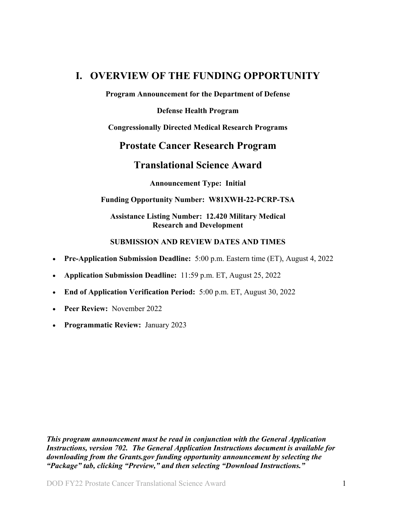# <span id="page-0-0"></span>**I. OVERVIEW OF THE FUNDING OPPORTUNITY**

**Program Announcement for the Department of Defense**

**Defense Health Program**

**Congressionally Directed Medical Research Programs**

# **Prostate Cancer Research Program**

# **Translational Science Award**

**Announcement Type: Initial**

#### **Funding Opportunity Number: W81XWH-22-PCRP-TSA**

#### **Assistance Listing Number: 12.420 Military Medical Research and Development**

## **SUBMISSION AND REVIEW DATES AND TIMES**

- <span id="page-0-1"></span>• **Pre-Application Submission Deadline:** 5:00 p.m. Eastern time (ET), August 4, 2022
- **Application Submission Deadline:** 11:59 p.m. ET, August 25, 2022
- **End of Application Verification Period:** 5:00 p.m. ET, August 30, 2022
- Peer Review: November 2022
- **Programmatic Review:** January 2023

*This program announcement must be read in conjunction with the General Application Instructions, version 702.**The General Application Instructions document is available for downloading from the Grants.gov funding opportunity announcement by selecting the "Package" tab, clicking "Preview," and then selecting "Download Instructions."*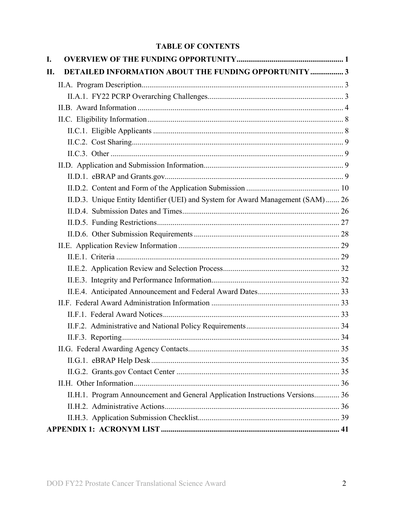# **TABLE OF CONTENTS**

| I.  |                                                                                  |  |
|-----|----------------------------------------------------------------------------------|--|
| II. | <b>DETAILED INFORMATION ABOUT THE FUNDING OPPORTUNITY  3</b>                     |  |
|     |                                                                                  |  |
|     |                                                                                  |  |
|     |                                                                                  |  |
|     |                                                                                  |  |
|     |                                                                                  |  |
|     |                                                                                  |  |
|     |                                                                                  |  |
|     |                                                                                  |  |
|     |                                                                                  |  |
|     |                                                                                  |  |
|     | II.D.3. Unique Entity Identifier (UEI) and System for Award Management (SAM)  26 |  |
|     |                                                                                  |  |
|     |                                                                                  |  |
|     |                                                                                  |  |
|     |                                                                                  |  |
|     |                                                                                  |  |
|     |                                                                                  |  |
|     |                                                                                  |  |
|     |                                                                                  |  |
|     |                                                                                  |  |
|     |                                                                                  |  |
|     |                                                                                  |  |
|     |                                                                                  |  |
|     |                                                                                  |  |
|     |                                                                                  |  |
|     |                                                                                  |  |
|     |                                                                                  |  |
|     | II.H.1. Program Announcement and General Application Instructions Versions 36    |  |
|     |                                                                                  |  |
|     |                                                                                  |  |
|     |                                                                                  |  |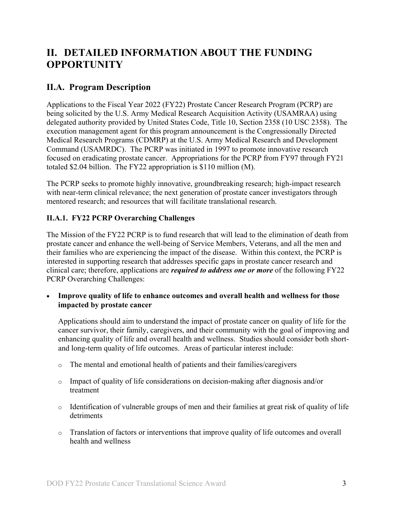# <span id="page-2-0"></span>**II. DETAILED INFORMATION ABOUT THE FUNDING OPPORTUNITY**

# <span id="page-2-1"></span>**II.A. Program Description**

Applications to the Fiscal Year 2022 (FY22) Prostate Cancer Research Program (PCRP) are being solicited by the U.S. Army Medical Research Acquisition Activity (USAMRAA) using delegated authority provided by United States Code, Title 10, Section 2358 (10 USC 2358). The execution management agent for this program announcement is the Congressionally Directed Medical Research Programs (CDMRP) at the U.S. Army Medical Research and Development Command (USAMRDC). The PCRP was initiated in 1997 to promote innovative research focused on eradicating prostate cancer. Appropriations for the PCRP from FY97 through FY21 totaled \$2.04 billion. The FY22 appropriation is \$110 million (M).

The PCRP seeks to promote highly innovative, groundbreaking research; high-impact research with near-term clinical relevance; the next generation of prostate cancer investigators through mentored research; and resources that will facilitate translational research.

# <span id="page-2-2"></span>**II.A.1. FY22 PCRP Overarching Challenges**

The Mission of the FY22 PCRP is to fund research that will lead to the elimination of death from prostate cancer and enhance the well-being of Service Members, Veterans, and all the men and their families who are experiencing the impact of the disease. Within this context, the PCRP is interested in supporting research that addresses specific gaps in prostate cancer research and clinical care; therefore, applications are *required to address one or more* of the following FY22 PCRP Overarching Challenges:

• **Improve quality of life to enhance outcomes and overall health and wellness for those impacted by prostate cancer**

Applications should aim to understand the impact of prostate cancer on quality of life for the cancer survivor, their family, caregivers, and their community with the goal of improving and enhancing quality of life and overall health and wellness. Studies should consider both shortand long-term quality of life outcomes. Areas of particular interest include:

- o The mental and emotional health of patients and their families/caregivers
- o Impact of quality of life considerations on decision-making after diagnosis and/or treatment
- o Identification of vulnerable groups of men and their families at great risk of quality of life detriments
- o Translation of factors or interventions that improve quality of life outcomes and overall health and wellness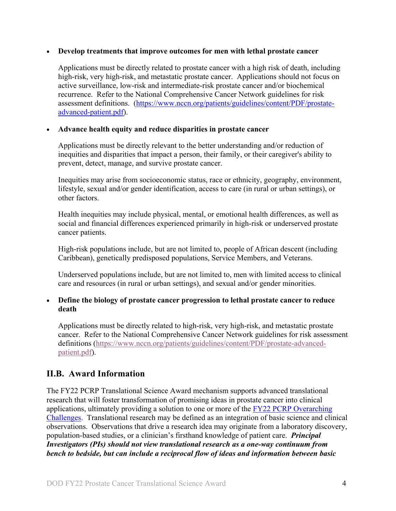#### • **Develop treatments that improve outcomes for men with lethal prostate cancer**

Applications must be directly related to prostate cancer with a high risk of death, including high-risk, very high-risk, and metastatic prostate cancer. Applications should not focus on active surveillance, low-risk and intermediate-risk prostate cancer and/or biochemical recurrence. Refer to the National Comprehensive Cancer Network guidelines for risk assessment definitions. [\(https://www.nccn.org/patients/guidelines/content/PDF/prostate](file://amedmrmcdf001/USAMRMC/CDMRP/Public/Leidos/Leidos%20Business%20(R)/8%20Program%20Teams/PCRP/16-Program%20Announcements/FY21/Template/(https:/www.ncc%20n.org/patients/guidelines/content/PDF/prostate-advanced-patient.pdf)[advanced-patient.pdf\)](file://amedmrmcdf001/USAMRMC/CDMRP/Public/Leidos/Leidos%20Business%20(R)/8%20Program%20Teams/PCRP/16-Program%20Announcements/FY21/Template/(https:/www.ncc%20n.org/patients/guidelines/content/PDF/prostate-advanced-patient.pdf).

#### • **Advance health equity and reduce disparities in prostate cancer**

Applications must be directly relevant to the better understanding and/or reduction of inequities and disparities that impact a person, their family, or their caregiver's ability to prevent, detect, manage, and survive prostate cancer.

Inequities may arise from socioeconomic status, race or ethnicity, geography, environment, lifestyle, sexual and/or gender identification, access to care (in rural or urban settings), or other factors.

Health inequities may include physical, mental, or emotional health differences, as well as social and financial differences experienced primarily in high-risk or underserved prostate cancer patients.

High-risk populations include, but are not limited to, people of African descent (including Caribbean), genetically predisposed populations, Service Members, and Veterans.

Underserved populations include, but are not limited to, men with limited access to clinical care and resources (in rural or urban settings), and sexual and/or gender minorities.

## • **Define the biology of prostate cancer progression to lethal prostate cancer to reduce death**

Applications must be directly related to high-risk, very high-risk, and metastatic prostate cancer. Refer to the National Comprehensive Cancer Network guidelines for risk assessment definitions [\(https://www.nccn.org/patients/guidelines/content/PDF/prostate-advanced](https://www.nccn.org/patients/guidelines/content/PDF/prostate-advanced-patient.pdf)[patient.pdf\)](https://www.nccn.org/patients/guidelines/content/PDF/prostate-advanced-patient.pdf).

# <span id="page-3-0"></span>**II.B. Award Information**

The FY22 PCRP Translational Science Award mechanism supports advanced translational research that will foster transformation of promising ideas in prostate cancer into clinical applications, ultimately providing a solution to one or more of the FY22 [PCRP Overarching](#page-2-2)  [Challenges.](#page-2-2) Translational research may be defined as an integration of basic science and clinical observations. Observations that drive a research idea may originate from a laboratory discovery, population-based studies, or a clinician's firsthand knowledge of patient care. *Principal Investigators (PIs) should not view translational research as a one-way continuum from bench to bedside, but can include a reciprocal flow of ideas and information between basic*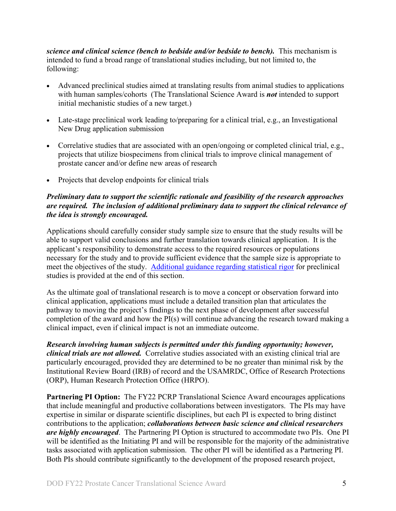*science and clinical science (bench to bedside and/or bedside to bench).* This mechanism is intended to fund a broad range of translational studies including, but not limited to, the following:

- Advanced preclinical studies aimed at translating results from animal studies to applications with human samples/cohorts (The Translational Science Award is *not* intended to support initial mechanistic studies of a new target.)
- Late-stage preclinical work leading to/preparing for a clinical trial, e.g., an Investigational New Drug application submission
- Correlative studies that are associated with an open/ongoing or completed clinical trial, e.g., projects that utilize biospecimens from clinical trials to improve clinical management of prostate cancer and/or define new areas of research
- Projects that develop endpoints for clinical trials

## *Preliminary data to support the scientific rationale and feasibility of the research approaches are required. The inclusion of additional preliminary data to support the clinical relevance of the idea is strongly encouraged.*

Applications should carefully consider study sample size to ensure that the study results will be able to support valid conclusions and further translation towards clinical application. It is the applicant's responsibility to demonstrate access to the required resources or populations necessary for the study and to provide sufficient evidence that the sample size is appropriate to meet the objectives of the study. Additional guidance regarding statistical rigor for preclinical studies is provided at the end of this section.

As the ultimate goal of translational research is to move a concept or observation forward into clinical application, applications must include a detailed transition plan that articulates the pathway to moving the project's findings to the next phase of development after successful completion of the award and how the PI(s) will continue advancing the research toward making a clinical impact, even if clinical impact is not an immediate outcome.

*Research involving human subjects is permitted under this funding opportunity; however, clinical trials are not allowed.* Correlative studies associated with an existing clinical trial are particularly encouraged, provided they are determined to be no greater than minimal risk by the Institutional Review Board (IRB) of record and the USAMRDC, Office of Research Protections (ORP), Human Research Protection Office (HRPO).

**Partnering PI Option:** The FY22 PCRP Translational Science Award encourages applications that include meaningful and productive collaborations between investigators. The PIs may have expertise in similar or disparate scientific disciplines, but each PI is expected to bring distinct contributions to the application; *collaborations between basic science and clinical researchers are highly encouraged*. The Partnering PI Option is structured to accommodate two PIs. One PI will be identified as the Initiating PI and will be responsible for the majority of the administrative tasks associated with application submission. The other PI will be identified as a Partnering PI. Both PIs should contribute significantly to the development of the proposed research project,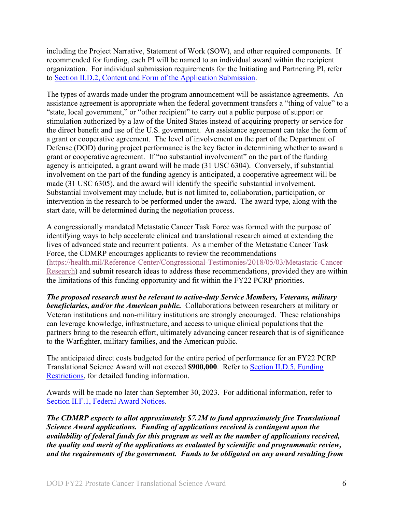including the Project Narrative, Statement of Work (SOW), and other required components. If recommended for funding, each PI will be named to an individual award within the recipient organization. For individual submission requirements for the Initiating and Partnering PI, refer to Section [II.D.2, Content and Form of the Application Submission.](#page-9-0)

The types of awards made under the program announcement will be assistance agreements. An assistance agreement is appropriate when the federal government transfers a "thing of value" to a "state, local government," or "other recipient" to carry out a public purpose of support or stimulation authorized by a law of the United States instead of acquiring property or service for the direct benefit and use of the U.S. government. An assistance agreement can take the form of a grant or cooperative agreement. The level of involvement on the part of the Department of Defense (DOD) during project performance is the key factor in determining whether to award a grant or cooperative agreement. If "no substantial involvement" on the part of the funding agency is anticipated, a grant award will be made (31 USC 6304). Conversely, if substantial involvement on the part of the funding agency is anticipated, a cooperative agreement will be made (31 USC 6305), and the award will identify the specific substantial involvement. Substantial involvement may include, but is not limited to, collaboration, participation, or intervention in the research to be performed under the award. The award type, along with the start date, will be determined during the negotiation process.

A congressionally mandated Metastatic Cancer Task Force was formed with the purpose of identifying ways to help accelerate clinical and translational research aimed at extending the lives of advanced state and recurrent patients. As a member of the Metastatic Cancer Task Force, the CDMRP encourages applicants to review the recommendations [\(https://health.mil/Reference-Center/Congressional-Testimonies/2018/05/03/Metastatic-Cancer-](https://health.mil/Reference-Center/Congressional-Testimonies/2018/05/03/Metastatic-Cancer-Research)[Research\)](https://health.mil/Reference-Center/Congressional-Testimonies/2018/05/03/Metastatic-Cancer-Research) and submit research ideas to address these recommendations, provided they are within the limitations of this funding opportunity and fit within the FY22 PCRP priorities.

*The proposed research must be relevant to active-duty Service Members, Veterans, military beneficiaries, and/or the American public.* Collaborations between researchers at military or Veteran institutions and non-military institutions are strongly encouraged. These relationships can leverage knowledge, infrastructure, and access to unique clinical populations that the partners bring to the research effort, ultimately advancing cancer research that is of significance to the Warfighter, military families, and the American public.

The anticipated direct costs budgeted for the entire period of performance for an FY22 PCRP Translational Science Award will not exceed **\$900,000**. Refer to Section [II.D.5, Funding](#page-26-0)  [Restrictions,](#page-26-0) for detailed funding information.

Awards will be made no later than September 30, 2023. For additional information, refer to [Section II.F.1, Federal Award Notices.](#page-32-2)

*The CDMRP expects to allot approximately \$7.2M to fund approximately five Translational Science Award applications. Funding of applications received is contingent upon the availability of federal funds for this program as well as the number of applications received, the quality and merit of the applications as evaluated by scientific and programmatic review, and the requirements of the government. Funds to be obligated on any award resulting from*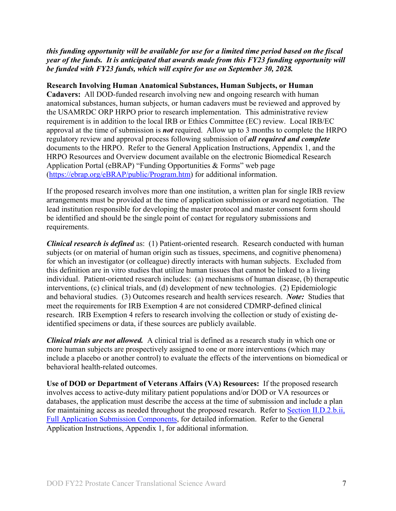### *this funding opportunity will be available for use for a limited time period based on the fiscal year of the funds. It is anticipated that awards made from this FY23 funding opportunity will be funded with FY23 funds, which will expire for use on September 30, 2028.*

**Research Involving Human Anatomical Substances, Human Subjects, or Human Cadavers:** All DOD-funded research involving new and ongoing research with human anatomical substances, human subjects, or human cadavers must be reviewed and approved by the USAMRDC ORP HRPO prior to research implementation. This administrative review requirement is in addition to the local IRB or Ethics Committee (EC) review. Local IRB/EC approval at the time of submission is *not* required. Allow up to 3 months to complete the HRPO regulatory review and approval process following submission of *all required and complete* documents to the HRPO. Refer to the General Application Instructions, Appendix 1, and the HRPO Resources and Overview document available on the electronic Biomedical Research Application Portal (eBRAP) "Funding Opportunities & Forms" web page [\(https://ebrap.org/eBRAP/public/Program.htm\)](https://ebrap.org/eBRAP/public/Program.htm) for additional information.

If the proposed research involves more than one institution, a written plan for single IRB review arrangements must be provided at the time of application submission or award negotiation. The lead institution responsible for developing the master protocol and master consent form should be identified and should be the single point of contact for regulatory submissions and requirements.

*Clinical research is defined* as: (1) Patient-oriented research. Research conducted with human subjects (or on material of human origin such as tissues, specimens, and cognitive phenomena) for which an investigator (or colleague) directly interacts with human subjects. Excluded from this definition are in vitro studies that utilize human tissues that cannot be linked to a living individual. Patient-oriented research includes: (a) mechanisms of human disease, (b) therapeutic interventions, (c) clinical trials, and (d) development of new technologies. (2) Epidemiologic and behavioral studies. (3) Outcomes research and health services research. *Note:* Studies that meet the requirements for IRB Exemption 4 are not considered CDMRP-defined clinical research. IRB Exemption 4 refers to research involving the collection or study of existing deidentified specimens or data, if these sources are publicly available.

*Clinical trials are not allowed.* A clinical trial is defined as a research study in which one or more human subjects are prospectively assigned to one or more interventions (which may include a placebo or another control) to evaluate the effects of the interventions on biomedical or behavioral health-related outcomes.

**Use of DOD or Department of Veterans Affairs (VA) Resources:** If the proposed research involves access to active-duty military patient populations and/or DOD or VA resources or databases, the application must describe the access at the time of submission and include a plan for maintaining access as needed throughout the proposed research. Refer to Section [II.D.2.b.ii,](#page-14-0)  [Full Application Submission Components,](#page-14-0) for detailed information. Refer to the General Application Instructions, Appendix 1, for additional information.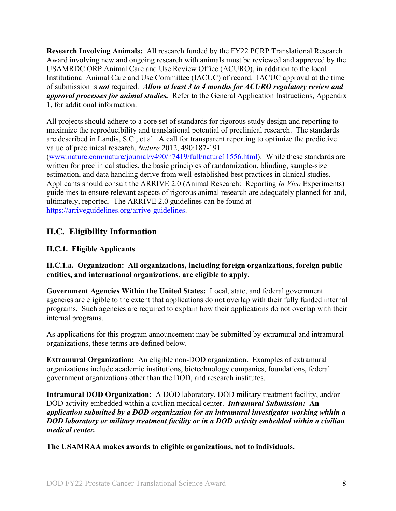**Research Involving Animals:** All research funded by the FY22 PCRP Translational Research Award involving new and ongoing research with animals must be reviewed and approved by the USAMRDC ORP Animal Care and Use Review Office (ACURO), in addition to the local Institutional Animal Care and Use Committee (IACUC) of record. IACUC approval at the time of submission is *not* required. *Allow at least 3 to 4 months for ACURO regulatory review and approval processes for animal studies.* Refer to the General Application Instructions, Appendix 1, for additional information.

All projects should adhere to a core set of standards for rigorous study design and reporting to maximize the reproducibility and translational potential of preclinical research. The standards are described in Landis, S.C., et al. A call for transparent reporting to optimize the predictive value of preclinical research, *Nature* 2012, 490:187-191

[\(www.nature.com/nature/journal/v490/n7419/full/nature11556.html\)](http://www.nature.com/nature/journal/v490/n7419/full/nature11556.html). While these standards are written for preclinical studies, the basic principles of randomization, blinding, sample-size estimation, and data handling derive from well-established best practices in clinical studies. Applicants should consult the ARRIVE 2.0 (Animal Research: Reporting *In Vivo* Experiments) guidelines to ensure relevant aspects of rigorous animal research are adequately planned for and, ultimately, reported. The ARRIVE 2.0 guidelines can be found at [https://arriveguidelines.org/arrive-guidelines.](https://arriveguidelines.org/arrive-guidelines)

# <span id="page-7-0"></span>**II.C. Eligibility Information**

# <span id="page-7-1"></span>**II.C.1. Eligible Applicants**

<span id="page-7-2"></span>**II.C.1.a. Organization: All organizations, including foreign organizations, foreign public entities, and international organizations, are eligible to apply.**

**Government Agencies Within the United States:** Local, state, and federal government agencies are eligible to the extent that applications do not overlap with their fully funded internal programs. Such agencies are required to explain how their applications do not overlap with their internal programs.

As applications for this program announcement may be submitted by extramural and intramural organizations, these terms are defined below.

**Extramural Organization:** An eligible non-DOD organization. Examples of extramural organizations include academic institutions, biotechnology companies, foundations, federal government organizations other than the DOD, and research institutes.

**Intramural DOD Organization:** A DOD laboratory, DOD military treatment facility, and/or DOD activity embedded within a civilian medical center. *Intramural Submission:* **An**  *application submitted by a DOD organization for an intramural investigator working within a DOD laboratory or military treatment facility or in a DOD activity embedded within a civilian medical center.*

**The USAMRAA makes awards to eligible organizations, not to individuals.**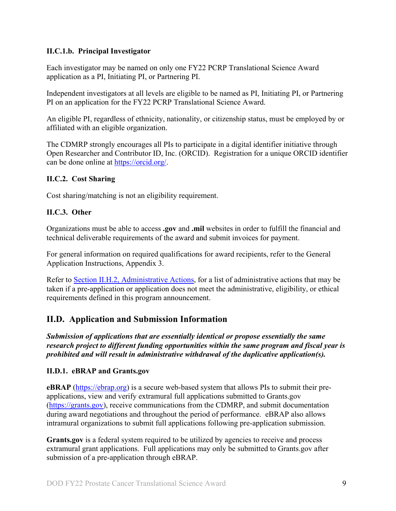## **II.C.1.b. Principal Investigator**

Each investigator may be named on only one FY22 PCRP Translational Science Award application as a PI, Initiating PI, or Partnering PI.

Independent investigators at all levels are eligible to be named as PI, Initiating PI, or Partnering PI on an application for the FY22 PCRP Translational Science Award.

An eligible PI, regardless of ethnicity, nationality, or citizenship status, must be employed by or affiliated with an eligible organization.

The CDMRP strongly encourages all PIs to participate in a digital identifier initiative through Open Researcher and Contributor ID, Inc. (ORCID). Registration for a unique ORCID identifier can be done online at [https://orcid.org/.](https://orcid.org/)

## <span id="page-8-0"></span>**II.C.2. Cost Sharing**

Cost sharing/matching is not an eligibility requirement.

# <span id="page-8-1"></span>**II.C.3. Other**

Organizations must be able to access **.gov** and **.mil** websites in order to fulfill the financial and technical deliverable requirements of the award and submit invoices for payment.

For general information on required qualifications for award recipients, refer to the General Application Instructions, Appendix 3.

Refer to [Section II.H.2, Administrative Actions,](#page-35-2) for a list of administrative actions that may be taken if a pre-application or application does not meet the administrative, eligibility, or ethical requirements defined in this program announcement.

# <span id="page-8-2"></span>**II.D. Application and Submission Information**

*Submission of applications that are essentially identical or propose essentially the same research project to different funding opportunities within the same program and fiscal year is prohibited and will result in administrative withdrawal of the duplicative application(s).*

# <span id="page-8-3"></span>**II.D.1. eBRAP and Grants.gov**

**eBRAP** [\(https://ebrap.org\)](https://ebrap.org/) is a secure web-based system that allows PIs to submit their preapplications, view and verify extramural full applications submitted to Grants.gov [\(https://grants.gov\)](https://grants.gov/), receive communications from the CDMRP, and submit documentation during award negotiations and throughout the period of performance. eBRAP also allows intramural organizations to submit full applications following pre-application submission.

Grants.gov is a federal system required to be utilized by agencies to receive and process extramural grant applications. Full applications may only be submitted to Grants.gov after submission of a pre-application through eBRAP.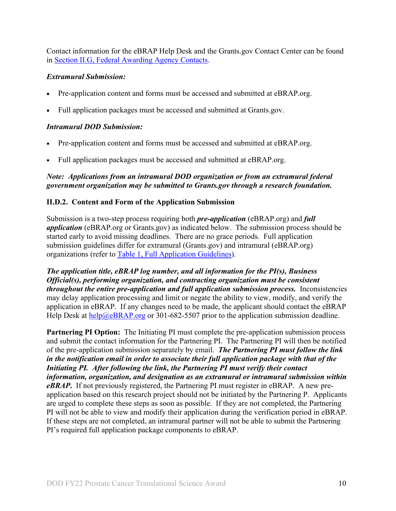Contact information for the eBRAP Help Desk and the Grants.gov Contact Center can be found in [Section II.G, Federal Awarding Agency Contacts.](#page-34-0)

## *Extramural Submission:*

- Pre-application content and forms must be accessed and submitted at eBRAP.org.
- Full application packages must be accessed and submitted at Grants.gov.

#### *Intramural DOD Submission:*

- Pre-application content and forms must be accessed and submitted at eBRAP.org.
- Full application packages must be accessed and submitted at eBRAP.org.

## *Note: Applications from an intramural DOD organization or from an extramural federal government organization may be submitted to Grants.gov through a research foundation.*

#### <span id="page-9-0"></span>**II.D.2. Content and Form of the Application Submission**

Submission is a two-step process requiring both *pre-application* (eBRAP.org) and *full application* (eBRAP.org or Grants.gov) as indicated below. The submission process should be started early to avoid missing deadlines. There are no grace periods. Full application submission guidelines differ for extramural (Grants.gov) and intramural (eBRAP.org) organizations (refer to [Table 1, Full Application Guidelines\)](#page-12-0).

*The application title, eBRAP log number, and all information for the PI(s), Business Official(s), performing organization, and contracting organization must be consistent throughout the entire pre-application and full application submission process.* Inconsistencies may delay application processing and limit or negate the ability to view, modify, and verify the application in eBRAP. If any changes need to be made, the applicant should contact the eBRAP Help Desk at  $\text{help@eBRAP.org}$  or 301-682-5507 prior to the application submission deadline.

**Partnering PI Option:** The Initiating PI must complete the pre-application submission process and submit the contact information for the Partnering PI. The Partnering PI will then be notified of the pre-application submission separately by email. *The Partnering PI must follow the link in the notification email in order to associate their full application package with that of the Initiating PI. After following the link, the Partnering PI must verify their contact information, organization, and designation as an extramural or intramural submission within eBRAP***.** If not previously registered, the Partnering PI must register in eBRAP. A new preapplication based on this research project should not be initiated by the Partnering P. Applicants are urged to complete these steps as soon as possible. If they are not completed, the Partnering PI will not be able to view and modify their application during the verification period in eBRAP. If these steps are not completed, an intramural partner will not be able to submit the Partnering PI's required full application package components to eBRAP.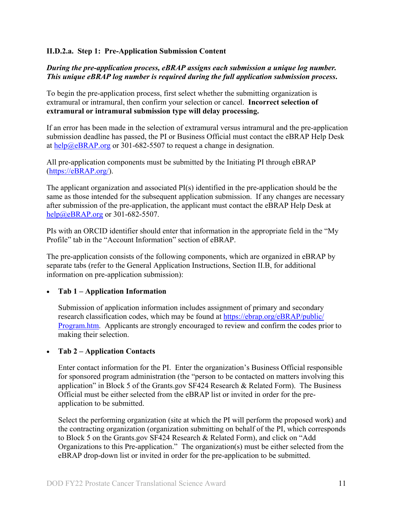#### **II.D.2.a. Step 1: Pre-Application Submission Content**

## *During the pre-application process, eBRAP assigns each submission a unique log number. This unique eBRAP log number is required during the full application submission process***.**

To begin the pre-application process, first select whether the submitting organization is extramural or intramural, then confirm your selection or cancel. **Incorrect selection of extramural or intramural submission type will delay processing.**

If an error has been made in the selection of extramural versus intramural and the pre-application submission deadline has passed, the PI or Business Official must contact the eBRAP Help Desk at [help@eBRAP.org](mailto:help@eBRAP.org) or 301-682-5507 to request a change in designation.

All pre-application components must be submitted by the Initiating PI through eBRAP [\(https://eBRAP.org/\)](https://ebrap.org/).

The applicant organization and associated PI(s) identified in the pre-application should be the same as those intended for the subsequent application submission. If any changes are necessary after submission of the pre-application, the applicant must contact the eBRAP Help Desk at [help@eBRAP.org](mailto:help@eBRAP.org) or 301-682-5507.

PIs with an ORCID identifier should enter that information in the appropriate field in the "My Profile" tab in the "Account Information" section of eBRAP.

The pre-application consists of the following components, which are organized in eBRAP by separate tabs (refer to the General Application Instructions, Section II.B, for additional information on pre-application submission):

## • **Tab 1 – Application Information**

Submission of application information includes assignment of primary and secondary research classification codes, which may be found at [https://ebrap.org/eBRAP/public/](https://ebrap.org/eBRAP/public/Program.htm) [Program.htm.](https://ebrap.org/eBRAP/public/Program.htm) Applicants are strongly encouraged to review and confirm the codes prior to making their selection.

#### • **Tab 2 – Application Contacts**

Enter contact information for the PI. Enter the organization's Business Official responsible for sponsored program administration (the "person to be contacted on matters involving this application" in Block 5 of the Grants.gov SF424 Research & Related Form). The Business Official must be either selected from the eBRAP list or invited in order for the preapplication to be submitted.

Select the performing organization (site at which the PI will perform the proposed work) and the contracting organization (organization submitting on behalf of the PI, which corresponds to Block 5 on the Grants.gov SF424 Research & Related Form), and click on "Add Organizations to this Pre-application." The organization(s) must be either selected from the eBRAP drop-down list or invited in order for the pre-application to be submitted.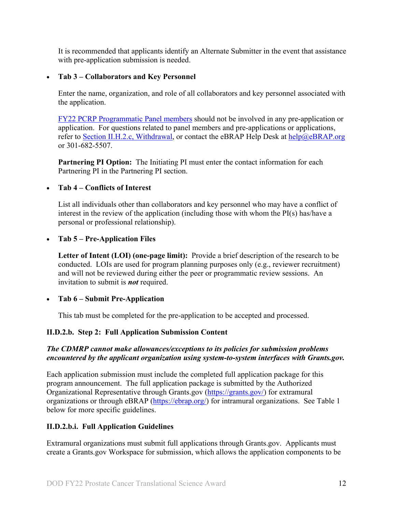It is recommended that applicants identify an Alternate Submitter in the event that assistance with pre-application submission is needed.

## • **Tab 3 – Collaborators and Key Personnel**

Enter the name, organization, and role of all collaborators and key personnel associated with the application.

[FY22 PCRP Programmatic Panel members](https://cdmrp.army.mil/pcrp/panels/panel22) should not be involved in any pre-application or application. For questions related to panel members and pre-applications or applications, refer to [Section II.H.2.c, Withdrawal,](#page-36-0) or contact the eBRAP Help Desk at [help@eBRAP.org](mailto:help@eBRAP.org) or 301-682-5507.

**Partnering PI Option:** The Initiating PI must enter the contact information for each Partnering PI in the Partnering PI section.

## • **Tab 4 – Conflicts of Interest**

List all individuals other than collaborators and key personnel who may have a conflict of interest in the review of the application (including those with whom the PI(s) has/have a personal or professional relationship).

## • **Tab 5 – Pre-Application Files**

**Letter of Intent (LOI) (one-page limit):** Provide a brief description of the research to be conducted. LOIs are used for program planning purposes only (e.g., reviewer recruitment) and will not be reviewed during either the peer or programmatic review sessions. An invitation to submit is *not* required.

## • **Tab 6 – Submit Pre-Application**

This tab must be completed for the pre-application to be accepted and processed.

## **II.D.2.b. Step 2: Full Application Submission Content**

## *The CDMRP cannot make allowances/exceptions to its policies for submission problems encountered by the applicant organization using system-to-system interfaces with Grants.gov.*

Each application submission must include the completed full application package for this program announcement. The full application package is submitted by the Authorized Organizational Representative through Grants.gov [\(https://grants.gov/\)](https://www.grants.gov/) for extramural organizations or through eBRAP [\(https://ebrap.org/\)](https://ebrap.org/) for intramural organizations. See Table 1 below for more specific guidelines.

## **II.D.2.b.i. Full Application Guidelines**

Extramural organizations must submit full applications through Grants.gov. Applicants must create a Grants.gov Workspace for submission, which allows the application components to be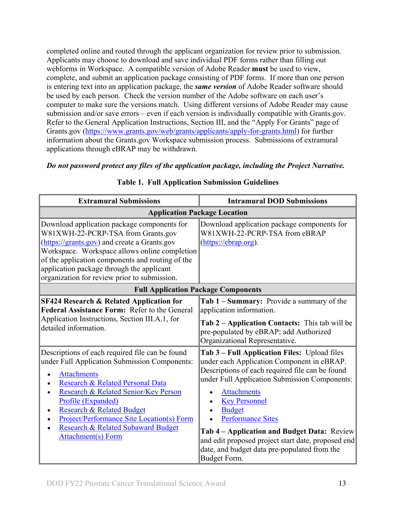completed online and routed through the applicant organization for review prior to submission. Applicants may choose to download and save individual PDF forms rather than filling out webforms in Workspace. A compatible version of Adobe Reader **must** be used to view, complete, and submit an application package consisting of PDF forms. If more than one person is entering text into an application package, the *same version* of Adobe Reader software should be used by each person. Check the version number of the Adobe software on each user's computer to make sure the versions match. Using different versions of Adobe Reader may cause submission and/or save errors – even if each version is individually compatible with Grants.gov. Refer to the General Application Instructions, Section III, and the "Apply For Grants" page of Grants.gov [\(https://www.grants.gov/web/grants/applicants/apply-for-grants.html\)](https://www.grants.gov/web/grants/applicants/apply-for-grants.html) for further information about the Grants.gov Workspace submission process. Submissions of extramural applications through eBRAP may be withdrawn.

## <span id="page-12-0"></span>*Do not password protect any files of the application package, including the Project Narrative.*

| <b>Extramural Submissions</b>                                                                                                                                                                                                                                                                                                                                                    | <b>Intramural DOD Submissions</b>                                                                                                                                                                                                                                                                                                                                                                                                                              |  |  |
|----------------------------------------------------------------------------------------------------------------------------------------------------------------------------------------------------------------------------------------------------------------------------------------------------------------------------------------------------------------------------------|----------------------------------------------------------------------------------------------------------------------------------------------------------------------------------------------------------------------------------------------------------------------------------------------------------------------------------------------------------------------------------------------------------------------------------------------------------------|--|--|
| <b>Application Package Location</b>                                                                                                                                                                                                                                                                                                                                              |                                                                                                                                                                                                                                                                                                                                                                                                                                                                |  |  |
| Download application package components for<br>W81XWH-22-PCRP-TSA from Grants.gov<br>(https://grants.gov) and create a Grants.gov<br>Workspace. Workspace allows online completion<br>of the application components and routing of the<br>application package through the applicant<br>organization for review prior to submission.                                              | Download application package components for<br>W81XWH-22-PCRP-TSA from eBRAP<br>(https://ebrap.org).                                                                                                                                                                                                                                                                                                                                                           |  |  |
| <b>Full Application Package Components</b>                                                                                                                                                                                                                                                                                                                                       |                                                                                                                                                                                                                                                                                                                                                                                                                                                                |  |  |
| <b>SF424 Research &amp; Related Application for</b><br><b>Federal Assistance Form: Refer to the General</b><br>Application Instructions, Section III.A.1, for<br>detailed information.                                                                                                                                                                                           | Tab 1 – Summary: Provide a summary of the<br>application information.<br>Tab $2$ – Application Contacts: This tab will be<br>pre-populated by eBRAP; add Authorized<br>Organizational Representative.                                                                                                                                                                                                                                                          |  |  |
| Descriptions of each required file can be found<br>under Full Application Submission Components:<br><b>Attachments</b><br>Research & Related Personal Data<br>Research & Related Senior/Key Person<br>Profile (Expanded)<br>Research & Related Budget<br><b>Project/Performance Site Location(s) Form</b><br><b>Research &amp; Related Subaward Budget</b><br>Attachment(s) Form | Tab 3 – Full Application Files: Upload files<br>under each Application Component in eBRAP.<br>Descriptions of each required file can be found<br>under Full Application Submission Components:<br><b>Attachments</b><br><b>Key Personnel</b><br><b>Budget</b><br><b>Performance Sites</b><br>Tab 4 – Application and Budget Data: Review<br>and edit proposed project start date, proposed end<br>date, and budget data pre-populated from the<br>Budget Form. |  |  |

## **Table 1. Full Application Submission Guidelines**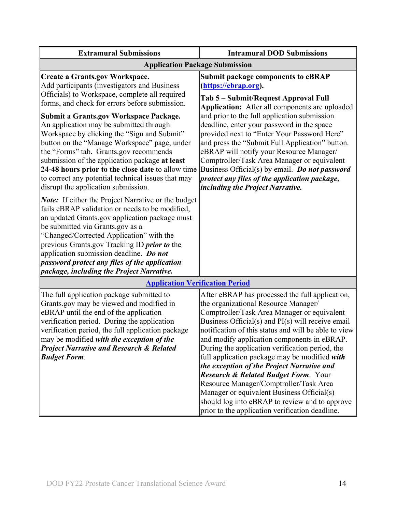| <b>Extramural Submissions</b>                                                                                                                                                                                                                                                                                                                                                                                                                                                                                                                                                                                               | <b>Intramural DOD Submissions</b>                                                                                                                                                                                                                                                                                                                                                                                                                                                                                                                                                                                                                                                                    |  |  |  |
|-----------------------------------------------------------------------------------------------------------------------------------------------------------------------------------------------------------------------------------------------------------------------------------------------------------------------------------------------------------------------------------------------------------------------------------------------------------------------------------------------------------------------------------------------------------------------------------------------------------------------------|------------------------------------------------------------------------------------------------------------------------------------------------------------------------------------------------------------------------------------------------------------------------------------------------------------------------------------------------------------------------------------------------------------------------------------------------------------------------------------------------------------------------------------------------------------------------------------------------------------------------------------------------------------------------------------------------------|--|--|--|
| <b>Application Package Submission</b>                                                                                                                                                                                                                                                                                                                                                                                                                                                                                                                                                                                       |                                                                                                                                                                                                                                                                                                                                                                                                                                                                                                                                                                                                                                                                                                      |  |  |  |
| Create a Grants.gov Workspace.<br>Add participants (investigators and Business<br>Officials) to Workspace, complete all required<br>forms, and check for errors before submission.<br><b>Submit a Grants.gov Workspace Package.</b><br>An application may be submitted through<br>Workspace by clicking the "Sign and Submit"<br>button on the "Manage Workspace" page, under<br>the "Forms" tab. Grants.gov recommends<br>submission of the application package at least<br>24-48 hours prior to the close date to allow time<br>to correct any potential technical issues that may<br>disrupt the application submission. | <b>Submit package components to eBRAP</b><br>(https://ebrap.org).<br>Tab 5 – Submit/Request Approval Full<br>Application: After all components are uploaded<br>and prior to the full application submission<br>deadline, enter your password in the space<br>provided next to "Enter Your Password Here"<br>and press the "Submit Full Application" button.<br>eBRAP will notify your Resource Manager/<br>Comptroller/Task Area Manager or equivalent<br>Business Official(s) by email. Do not password<br>protect any files of the application package,<br>including the Project Narrative.                                                                                                        |  |  |  |
| <b>Note:</b> If either the Project Narrative or the budget<br>fails eBRAP validation or needs to be modified,<br>an updated Grants.gov application package must<br>be submitted via Grants.gov as a<br>"Changed/Corrected Application" with the<br>previous Grants.gov Tracking ID <i>prior to</i> the<br>application submission deadline. Do not<br>password protect any files of the application<br>package, including the Project Narrative.                                                                                                                                                                             |                                                                                                                                                                                                                                                                                                                                                                                                                                                                                                                                                                                                                                                                                                      |  |  |  |
| <b>Application Verification Period</b>                                                                                                                                                                                                                                                                                                                                                                                                                                                                                                                                                                                      |                                                                                                                                                                                                                                                                                                                                                                                                                                                                                                                                                                                                                                                                                                      |  |  |  |
| The full application package submitted to<br>Grants.gov may be viewed and modified in<br>eBRAP until the end of the application<br>verification period. During the application<br>verification period, the full application package<br>may be modified with the exception of the<br><b>Project Narrative and Research &amp; Related</b><br><b>Budget Form.</b>                                                                                                                                                                                                                                                              | After eBRAP has processed the full application,<br>the organizational Resource Manager/<br>Comptroller/Task Area Manager or equivalent<br>Business Official(s) and PI(s) will receive email<br>notification of this status and will be able to view<br>and modify application components in eBRAP.<br>During the application verification period, the<br>full application package may be modified with<br>the exception of the Project Narrative and<br><b>Research &amp; Related Budget Form.</b> Your<br>Resource Manager/Comptroller/Task Area<br>Manager or equivalent Business Official(s)<br>should log into eBRAP to review and to approve<br>prior to the application verification deadline. |  |  |  |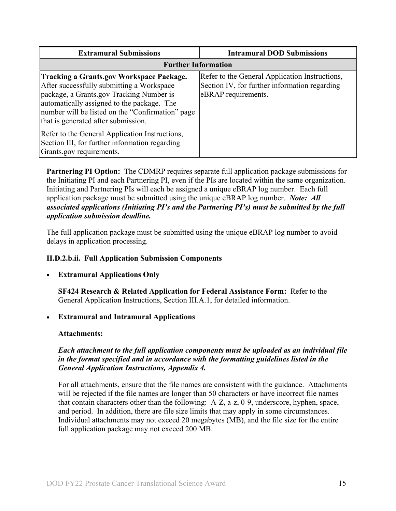| <b>Extramural Submissions</b>                                                                                                                                                                                                                                                     | <b>Intramural DOD Submissions</b>                                                                                      |  |
|-----------------------------------------------------------------------------------------------------------------------------------------------------------------------------------------------------------------------------------------------------------------------------------|------------------------------------------------------------------------------------------------------------------------|--|
| <b>Further Information</b>                                                                                                                                                                                                                                                        |                                                                                                                        |  |
| <b>Tracking a Grants.gov Workspace Package.</b><br>After successfully submitting a Workspace<br>package, a Grants.gov Tracking Number is<br>automatically assigned to the package. The<br>number will be listed on the "Confirmation" page<br>that is generated after submission. | Refer to the General Application Instructions,<br>Section IV, for further information regarding<br>eBRAP requirements. |  |
| Refer to the General Application Instructions,<br>Section III, for further information regarding<br>Grants.gov requirements.                                                                                                                                                      |                                                                                                                        |  |

**Partnering PI Option:** The CDMRP requires separate full application package submissions for the Initiating PI and each Partnering PI, even if the PIs are located within the same organization. Initiating and Partnering PIs will each be assigned a unique eBRAP log number. Each full application package must be submitted using the unique eBRAP log number. *Note: All associated applications (Initiating PI's and the Partnering PI's) must be submitted by the full application submission deadline.*

The full application package must be submitted using the unique eBRAP log number to avoid delays in application processing.

## <span id="page-14-0"></span>**II.D.2.b.ii. Full Application Submission Components**

## • **Extramural Applications Only**

**SF424 Research & Related Application for Federal Assistance Form:** Refer to the General Application Instructions, Section III.A.1, for detailed information.

## • **Extramural and Intramural Applications**

## <span id="page-14-1"></span>**Attachments:**

## *Each attachment to the full application components must be uploaded as an individual file in the format specified and in accordance with the formatting guidelines listed in the General Application Instructions, Appendix 4.*

For all attachments, ensure that the file names are consistent with the guidance. Attachments will be rejected if the file names are longer than 50 characters or have incorrect file names that contain characters other than the following: A-Z, a-z, 0-9, underscore, hyphen, space, and period. In addition, there are file size limits that may apply in some circumstances. Individual attachments may not exceed 20 megabytes (MB), and the file size for the entire full application package may not exceed 200 MB.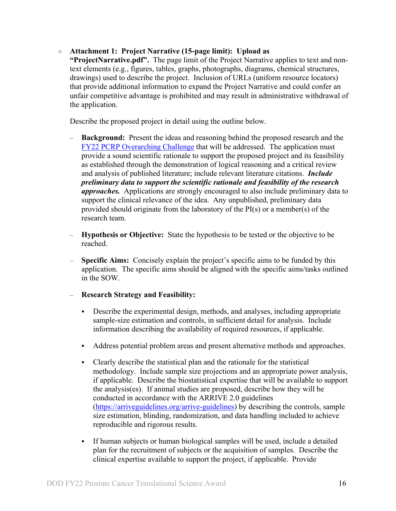#### ○ **Attachment 1: Project Narrative (15-page limit): Upload as**

**"ProjectNarrative.pdf".** The page limit of the Project Narrative applies to text and nontext elements (e.g., figures, tables, graphs, photographs, diagrams, chemical structures, drawings) used to describe the project. Inclusion of URLs (uniform resource locators) that provide additional information to expand the Project Narrative and could confer an unfair competitive advantage is prohibited and may result in administrative withdrawal of the application.

Describe the proposed project in detail using the outline below.

- **Background:** Present the ideas and reasoning behind the proposed research and the FY22 [PCRP Overarching Challenge](#page-2-2) that will be addressed. The application must provide a sound scientific rationale to support the proposed project and its feasibility as established through the demonstration of logical reasoning and a critical review and analysis of published literature; include relevant literature citations. *Include preliminary data to support the scientific rationale and feasibility of the research approaches.* Applications are strongly encouraged to also include preliminary data to support the clinical relevance of the idea. Any unpublished, preliminary data provided should originate from the laboratory of the PI(s) or a member(s) of the research team.
- **Hypothesis or Objective:** State the hypothesis to be tested or the objective to be reached.
- **Specific Aims:** Concisely explain the project's specific aims to be funded by this application. The specific aims should be aligned with the specific aims/tasks outlined in the SOW.
- **Research Strategy and Feasibility:**
	- Describe the experimental design, methods, and analyses, including appropriate sample-size estimation and controls, in sufficient detail for analysis. Include information describing the availability of required resources, if applicable.
	- Address potential problem areas and present alternative methods and approaches.
	- Clearly describe the statistical plan and the rationale for the statistical methodology. Include sample size projections and an appropriate power analysis, if applicable. Describe the biostatistical expertise that will be available to support the analysis(es). If animal studies are proposed, describe how they will be conducted in accordance with the ARRIVE 2.0 guidelines [\(https://arriveguidelines.org/arrive-guidelines\)](https://arriveguidelines.org/arrive-guidelines) by describing the controls, sample size estimation, blinding, randomization, and data handling included to achieve reproducible and rigorous results.
	- If human subjects or human biological samples will be used, include a detailed plan for the recruitment of subjects or the acquisition of samples. Describe the clinical expertise available to support the project, if applicable. Provide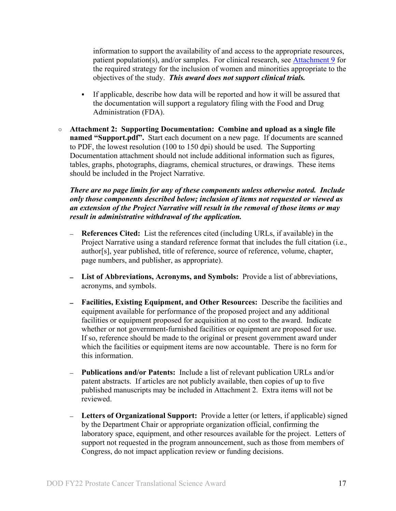information to support the availability of and access to the appropriate resources, patient population(s), and/or samples. For clinical research, see [Attachment 9](#page-20-0) for the required strategy for the inclusion of women and minorities appropriate to the objectives of the study. *This award does not support clinical trials.*

- If applicable, describe how data will be reported and how it will be assured that the documentation will support a regulatory filing with the Food and Drug Administration (FDA).
- **Attachment 2: Supporting Documentation: Combine and upload as a single file named "Support.pdf".** Start each document on a new page. If documents are scanned to PDF, the lowest resolution (100 to 150 dpi) should be used. The Supporting Documentation attachment should not include additional information such as figures, tables, graphs, photographs, diagrams, chemical structures, or drawings. These items should be included in the Project Narrative.

*There are no page limits for any of these components unless otherwise noted. Include only those components described below; inclusion of items not requested or viewed as an extension of the Project Narrative will result in the removal of those items or may result in administrative withdrawal of the application.*

- **References Cited:** List the references cited (including URLs, if available) in the Project Narrative using a standard reference format that includes the full citation (i.e., author[s], year published, title of reference, source of reference, volume, chapter, page numbers, and publisher, as appropriate).
- **List of Abbreviations, Acronyms, and Symbols:** Provide a list of abbreviations, acronyms, and symbols.
- **Facilities, Existing Equipment, and Other Resources:** Describe the facilities and equipment available for performance of the proposed project and any additional facilities or equipment proposed for acquisition at no cost to the award. Indicate whether or not government-furnished facilities or equipment are proposed for use. If so, reference should be made to the original or present government award under which the facilities or equipment items are now accountable. There is no form for this information.
- **Publications and/or Patents:** Include a list of relevant publication URLs and/or patent abstracts. If articles are not publicly available, then copies of up to five published manuscripts may be included in Attachment 2. Extra items will not be reviewed.
- **Letters of Organizational Support:** Provide a letter (or letters, if applicable) signed by the Department Chair or appropriate organization official, confirming the laboratory space, equipment, and other resources available for the project. Letters of support not requested in the program announcement, such as those from members of Congress, do not impact application review or funding decisions.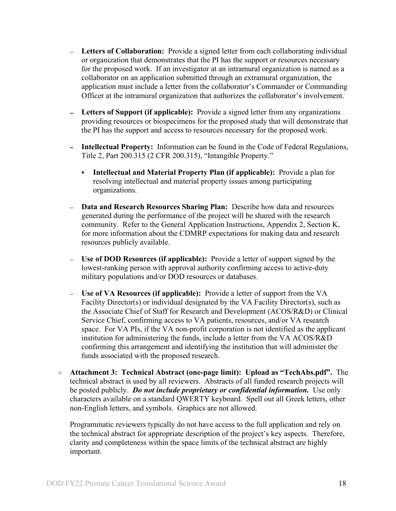- **Letters of Collaboration:** Provide a signed letter from each collaborating individual or organization that demonstrates that the PI has the support or resources necessary for the proposed work. If an investigator at an intramural organization is named as a collaborator on an application submitted through an extramural organization, the application must include a letter from the collaborator's Commander or Commanding Officer at the intramural organization that authorizes the collaborator's involvement.
- **Letters of Support (if applicable):** Provide a signed letter from any organizations providing resources or biospecimens for the proposed study that will demonstrate that the PI has the support and access to resources necessary for the proposed work.
- **Intellectual Property:** Information can be found in the Code of Federal Regulations, Title 2, Part 200.315 (2 CFR 200.315), "Intangible Property."
	- **Intellectual and Material Property Plan (if applicable):** Provide a plan for resolving intellectual and material property issues among participating organizations.
- **Data and Research Resources Sharing Plan:** Describe how data and resources generated during the performance of the project will be shared with the research community. Refer to the General Application Instructions, Appendix 2, Section K, for more information about the CDMRP expectations for making data and research resources publicly available.
- **Use of DOD Resources (if applicable):** Provide a letter of support signed by the lowest-ranking person with approval authority confirming access to active-duty military populations and/or DOD resources or databases.
- **Use of VA Resources (if applicable):** Provide a letter of support from the VA Facility Director(s) or individual designated by the VA Facility Director(s), such as the Associate Chief of Staff for Research and Development (ACOS/R&D) or Clinical Service Chief, confirming access to VA patients, resources, and/or VA research space. For VA PIs, if the VA non-profit corporation is not identified as the applicant institution for administering the funds, include a letter from the VA ACOS/R&D confirming this arrangement and identifying the institution that will administer the funds associated with the proposed research.
- **Attachment 3: Technical Abstract (one-page limit): Upload as "TechAbs.pdf".** The technical abstract is used by all reviewers. Abstracts of all funded research projects will be posted publicly. *Do not include proprietary or confidential information.* Use only characters available on a standard QWERTY keyboard. Spell out all Greek letters, other non-English letters, and symbols. Graphics are not allowed.

Programmatic reviewers typically do not have access to the full application and rely on the technical abstract for appropriate description of the project's key aspects. Therefore, clarity and completeness within the space limits of the technical abstract are highly important.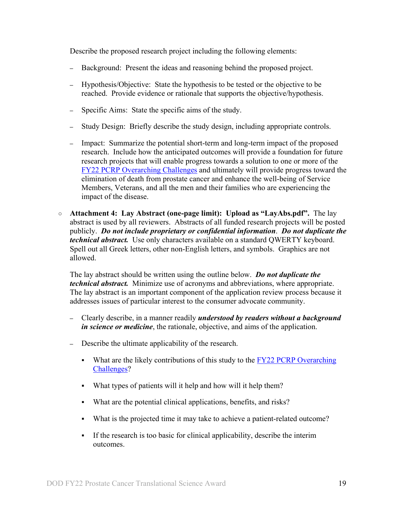Describe the proposed research project including the following elements:

- **–** Background: Present the ideas and reasoning behind the proposed project.
- **–** Hypothesis/Objective: State the hypothesis to be tested or the objective to be reached. Provide evidence or rationale that supports the objective/hypothesis.
- **–** Specific Aims: State the specific aims of the study.
- **–** Study Design: Briefly describe the study design, including appropriate controls.
- **–** Impact: Summarize the potential short-term and long-term impact of the proposed research. Include how the anticipated outcomes will provide a foundation for future research projects that will enable progress towards a solution to one or more of the [FY22 PCRP Overarching Challenges](#page-2-2) and ultimately will provide progress toward the elimination of death from prostate cancer and enhance the well-being of Service Members, Veterans, and all the men and their families who are experiencing the impact of the disease.
- **Attachment 4: Lay Abstract (one-page limit): Upload as "LayAbs.pdf".** The lay abstract is used by all reviewers. Abstracts of all funded research projects will be posted publicly. *Do not include proprietary or confidential information*. *Do not duplicate the technical abstract.* Use only characters available on a standard QWERTY keyboard. Spell out all Greek letters, other non-English letters, and symbols. Graphics are not allowed.

The lay abstract should be written using the outline below. *Do not duplicate the technical abstract.* Minimize use of acronyms and abbreviations, where appropriate. The lay abstract is an important component of the application review process because it addresses issues of particular interest to the consumer advocate community.

- **–** Clearly describe, in a manner readily *understood by readers without a background in science or medicine*, the rationale, objective, and aims of the application.
- **–** Describe the ultimate applicability of the research.
	- What are the likely contributions of this study to the  $FY22$  PCRP Overarching [Challenges?](#page-2-2)
	- What types of patients will it help and how will it help them?
	- What are the potential clinical applications, benefits, and risks?
	- What is the projected time it may take to achieve a patient-related outcome?
	- If the research is too basic for clinical applicability, describe the interim outcomes.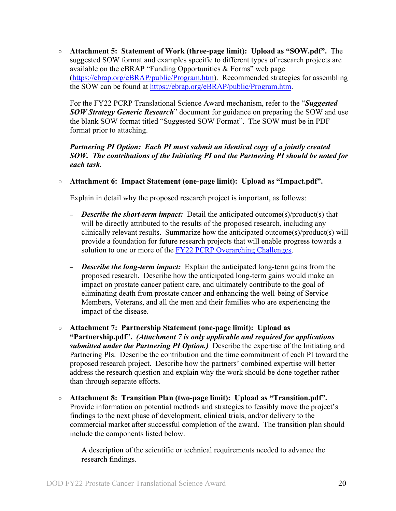○ **Attachment 5: Statement of Work (three-page limit): Upload as "SOW.pdf".** The suggested SOW format and examples specific to different types of research projects are available on the eBRAP "Funding Opportunities & Forms" web page [\(https://ebrap.org/eBRAP/public/Program.htm\)](https://ebrap.org/eBRAP/public/Program.htm). Recommended strategies for assembling the SOW can be found at [https://ebrap.org/eBRAP/public/Program.htm.](https://ebrap.org/eBRAP/public/Program.htm)

For the FY22 PCRP Translational Science Award mechanism, refer to the "*Suggested SOW Strategy Generic Research*" document for guidance on preparing the SOW and use the blank SOW format titled "Suggested SOW Format". The SOW must be in PDF format prior to attaching.

#### *Partnering PI Option: Each PI must submit an identical copy of a jointly created SOW. The contributions of the Initiating PI and the Partnering PI should be noted for each task.*

○ **Attachment 6: Impact Statement (one-page limit): Upload as "Impact.pdf".** 

Explain in detail why the proposed research project is important, as follows:

- **–** *Describe the short-term impact:* Detail the anticipated outcome(s)/product(s) that will be directly attributed to the results of the proposed research, including any clinically relevant results. Summarize how the anticipated outcome(s)/product(s) will provide a foundation for future research projects that will enable progress towards a solution to one or more of the FY22 [PCRP Overarching Challenges.](#page-2-2)
- **–** *Describe the long-term impact:* Explain the anticipated long-term gains from the proposed research. Describe how the anticipated long-term gains would make an impact on prostate cancer patient care, and ultimately contribute to the goal of eliminating death from prostate cancer and enhancing the well-being of Service Members, Veterans, and all the men and their families who are experiencing the impact of the disease.
- **Attachment 7: Partnership Statement (one-page limit): Upload as "Partnership.pdf".** *(Attachment 7 is only applicable and required for applications submitted under the Partnering PI Option.)* Describe the expertise of the Initiating and Partnering PIs. Describe the contribution and the time commitment of each PI toward the proposed research project. Describe how the partners' combined expertise will better address the research question and explain why the work should be done together rather than through separate efforts.
- **Attachment 8: Transition Plan (two-page limit): Upload as "Transition.pdf".** Provide information on potential methods and strategies to feasibly move the project's findings to the next phase of development, clinical trials, and/or delivery to the commercial market after successful completion of the award. The transition plan should include the components listed below.
	- A description of the scientific or technical requirements needed to advance the research findings.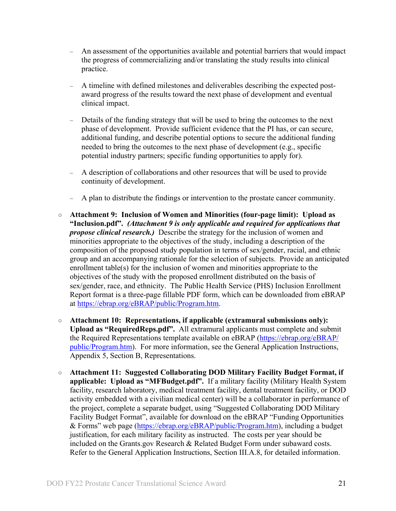- An assessment of the opportunities available and potential barriers that would impact the progress of commercializing and/or translating the study results into clinical practice.
- A timeline with defined milestones and deliverables describing the expected postaward progress of the results toward the next phase of development and eventual clinical impact.
- Details of the funding strategy that will be used to bring the outcomes to the next phase of development. Provide sufficient evidence that the PI has, or can secure, additional funding, and describe potential options to secure the additional funding needed to bring the outcomes to the next phase of development (e.g., specific potential industry partners; specific funding opportunities to apply for).
- A description of collaborations and other resources that will be used to provide continuity of development.
- A plan to distribute the findings or intervention to the prostate cancer community.
- <span id="page-20-0"></span>○ **Attachment 9: Inclusion of Women and Minorities (four-page limit): Upload as "Inclusion.pdf".** *(Attachment 9 is only applicable and required for applications that propose clinical research.)* Describe the strategy for the inclusion of women and minorities appropriate to the objectives of the study, including a description of the composition of the proposed study population in terms of sex/gender, racial, and ethnic group and an accompanying rationale for the selection of subjects. Provide an anticipated enrollment table(s) for the inclusion of women and minorities appropriate to the objectives of the study with the proposed enrollment distributed on the basis of sex/gender, race, and ethnicity. The Public Health Service (PHS) Inclusion Enrollment Report format is a three-page fillable PDF form, which can be downloaded from eBRAP at [https://ebrap.org/eBRAP/public/Program.htm.](https://ebrap.org/eBRAP/public/Program.htm)
- **Attachment 10: Representations, if applicable (extramural submissions only): Upload as "RequiredReps.pdf".** All extramural applicants must complete and submit the Required Representations template available on eBRAP [\(https://ebrap.org/eBRAP/](https://ebrap.org/eBRAP/public/Program.htm) [public/Program.htm\)](https://ebrap.org/eBRAP/public/Program.htm). For more information, see the General Application Instructions, Appendix 5, Section B, Representations.
- <span id="page-20-1"></span>○ **Attachment 11: Suggested Collaborating DOD Military Facility Budget Format, if applicable: Upload as "MFBudget.pdf".** If a military facility (Military Health System facility, research laboratory, medical treatment facility, dental treatment facility, or DOD activity embedded with a civilian medical center) will be a collaborator in performance of the project, complete a separate budget, using "Suggested Collaborating DOD Military Facility Budget Format", available for download on the eBRAP "Funding Opportunities & Forms" web page [\(https://ebrap.org/eBRAP/public/Program.htm\)](https://ebrap.org/eBRAP/public/Program.htm), including a budget justification, for each military facility as instructed. The costs per year should be included on the Grants.gov Research & Related Budget Form under subaward costs. Refer to the General Application Instructions, Section III.A.8, for detailed information.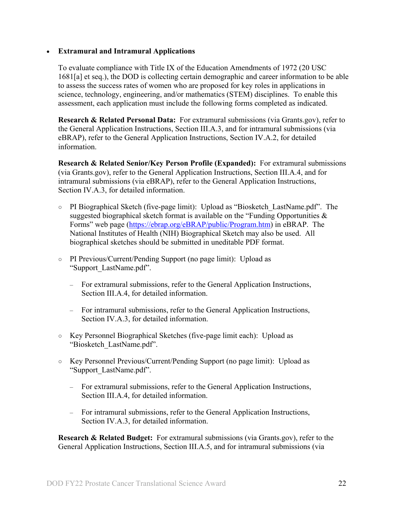#### • **Extramural and Intramural Applications**

To evaluate compliance with Title IX of the Education Amendments of 1972 (20 USC 1681[a] et seq.), the DOD is collecting certain demographic and career information to be able to assess the success rates of women who are proposed for key roles in applications in science, technology, engineering, and/or mathematics (STEM) disciplines. To enable this assessment, each application must include the following forms completed as indicated.

<span id="page-21-0"></span>**Research & Related Personal Data:** For extramural submissions (via Grants.gov), refer to the General Application Instructions, Section III.A.3, and for intramural submissions (via eBRAP), refer to the General Application Instructions, Section IV.A.2, for detailed information.

<span id="page-21-1"></span>**Research & Related Senior/Key Person Profile (Expanded):** For extramural submissions (via Grants.gov), refer to the General Application Instructions, Section III.A.4, and for intramural submissions (via eBRAP), refer to the General Application Instructions, Section IV.A.3, for detailed information.

- PI Biographical Sketch (five-page limit): Upload as "Biosketch\_LastName.pdf". The suggested biographical sketch format is available on the "Funding Opportunities  $\&$ Forms" web page [\(https://ebrap.org/eBRAP/public/Program.htm\)](https://ebrap.org/eBRAP/public/Program.htm) in eBRAP. The National Institutes of Health (NIH) Biographical Sketch may also be used. All biographical sketches should be submitted in uneditable PDF format.
- PI Previous/Current/Pending Support (no page limit): Upload as "Support\_LastName.pdf".
	- For extramural submissions, refer to the General Application Instructions, Section III.A.4, for detailed information.
	- For intramural submissions, refer to the General Application Instructions, Section IV.A.3, for detailed information.
- Key Personnel Biographical Sketches (five-page limit each): Upload as "Biosketch\_LastName.pdf".
- Key Personnel Previous/Current/Pending Support (no page limit): Upload as "Support\_LastName.pdf".
	- For extramural submissions, refer to the General Application Instructions, Section III.A.4, for detailed information.
	- For intramural submissions, refer to the General Application Instructions, Section IV.A.3, for detailed information.

<span id="page-21-2"></span>**Research & Related Budget:** For extramural submissions (via Grants.gov), refer to the General Application Instructions, Section III.A.5, and for intramural submissions (via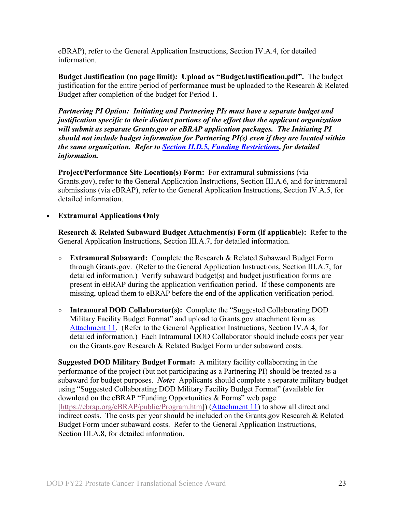eBRAP), refer to the General Application Instructions, Section IV.A.4, for detailed information.

**Budget Justification (no page limit): Upload as "BudgetJustification.pdf".** The budget justification for the entire period of performance must be uploaded to the Research & Related Budget after completion of the budget for Period 1.

*Partnering PI Option: Initiating and Partnering PIs must have a separate budget and justification specific to their distinct portions of the effort that the applicant organization will submit as separate Grants.gov or eBRAP application packages. The Initiating PI should not include budget information for Partnering PI(s) even if they are located within the same organization. Refer to Section [II.D.5, Funding Restrictions,](#page-26-0) for detailed information.*

**Project/Performance Site Location(s) Form:** For extramural submissions (via Grants.gov), refer to the General Application Instructions, Section III.A.6, and for intramural submissions (via eBRAP), refer to the General Application Instructions, Section IV.A.5, for detailed information.

#### • **Extramural Applications Only**

<span id="page-22-0"></span>**Research & Related Subaward Budget Attachment(s) Form (if applicable):** Refer to the General Application Instructions, Section III.A.7, for detailed information.

- **Extramural Subaward:** Complete the Research & Related Subaward Budget Form through Grants.gov. (Refer to the General Application Instructions, Section III.A.7, for detailed information.) Verify subaward budget(s) and budget justification forms are present in eBRAP during the application verification period. If these components are missing, upload them to eBRAP before the end of the application verification period.
- **Intramural DOD Collaborator(s):** Complete the "Suggested Collaborating DOD Military Facility Budget Format" and upload to Grants.gov attachment form as [Attachment 11.](#page-20-1) (Refer to the General Application Instructions, Section IV.A.4, for detailed information.) Each Intramural DOD Collaborator should include costs per year on the Grants.gov Research & Related Budget Form under subaward costs.

**Suggested DOD Military Budget Format:** A military facility collaborating in the performance of the project (but not participating as a Partnering PI) should be treated as a subaward for budget purposes. *Note:*Applicants should complete a separate military budget using "Suggested Collaborating DOD Military Facility Budget Format" (available for download on the eBRAP "Funding Opportunities & Forms" web page [\[https://ebrap.org/eBRAP/public/Program.htm\]](https://ebrap.org/eBRAP/public/Program.htm)) [\(Attachment 11\)](#page-20-1) to show all direct and indirect costs. The costs per year should be included on the Grants.gov Research & Related Budget Form under subaward costs. Refer to the General Application Instructions, Section III.A.8, for detailed information.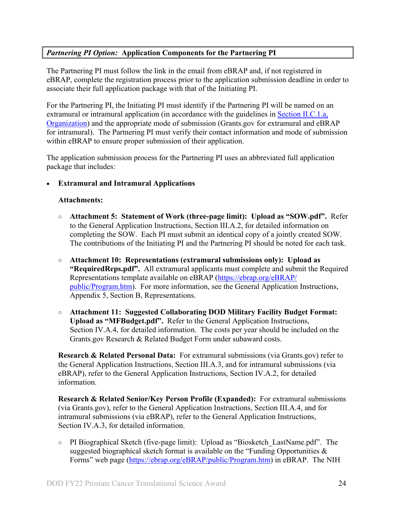## *Partnering PI Option:* **Application Components for the Partnering PI**

The Partnering PI must follow the link in the email from eBRAP and, if not registered in eBRAP, complete the registration process prior to the application submission deadline in order to associate their full application package with that of the Initiating PI.

For the Partnering PI, the Initiating PI must identify if the Partnering PI will be named on an extramural or intramural application (in accordance with the guidelines in Section [II.C.1.a,](#page-7-2)  [Organization\)](#page-7-2) and the appropriate mode of submission (Grants.gov for extramural and eBRAP for intramural). The Partnering PI must verify their contact information and mode of submission within eBRAP to ensure proper submission of their application.

The application submission process for the Partnering PI uses an abbreviated full application package that includes:

## • **Extramural and Intramural Applications**

#### **Attachments:**

- **Attachment 5: Statement of Work (three-page limit): Upload as "SOW.pdf".** Refer to the General Application Instructions, Section III.A.2, for detailed information on completing the SOW. Each PI must submit an identical copy of a jointly created SOW. The contributions of the Initiating PI and the Partnering PI should be noted for each task.
- **Attachment 10: Representations (extramural submissions only): Upload as "RequiredReps.pdf".** All extramural applicants must complete and submit the Required Representations template available on eBRAP [\(https://ebrap.org/eBRAP/](https://ebrap.org/eBRAP/public/Program.htm) [public/Program.htm\)](https://ebrap.org/eBRAP/public/Program.htm). For more information, see the General Application Instructions, Appendix 5, Section B, Representations.
- **Attachment 11: Suggested Collaborating DOD Military Facility Budget Format: Upload as "MFBudget.pdf".** Refer to the General Application Instructions, Section IV.A.4, for detailed information. The costs per year should be included on the Grants.gov Research & Related Budget Form under subaward costs.

**Research & Related Personal Data:** For extramural submissions (via Grants.gov) refer to the General Application Instructions, Section III.A.3, and for intramural submissions (via eBRAP), refer to the General Application Instructions, Section IV.A.2, for detailed information.

**Research & Related Senior/Key Person Profile (Expanded):** For extramural submissions (via Grants.gov), refer to the General Application Instructions, Section III.A.4, and for intramural submissions (via eBRAP), refer to the General Application Instructions, Section IV.A.3, for detailed information.

○ PI Biographical Sketch (five-page limit): Upload as "Biosketch\_LastName.pdf". The suggested biographical sketch format is available on the "Funding Opportunities  $\&$ Forms" web page [\(https://ebrap.org/eBRAP/public/Program.htm\)](https://ebrap.org/eBRAP/public/Program.htm) in eBRAP. The NIH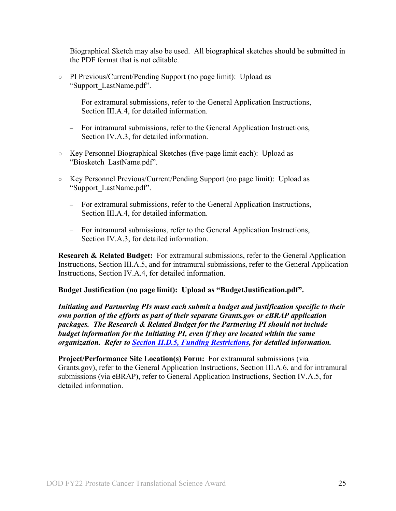Biographical Sketch may also be used. All biographical sketches should be submitted in the PDF format that is not editable.

- PI Previous/Current/Pending Support (no page limit): Upload as "Support\_LastName.pdf".
	- For extramural submissions, refer to the General Application Instructions, Section III.A.4, for detailed information.
	- For intramural submissions, refer to the General Application Instructions, Section IV.A.3, for detailed information.
- Key Personnel Biographical Sketches (five-page limit each): Upload as "Biosketch\_LastName.pdf".
- Key Personnel Previous/Current/Pending Support (no page limit): Upload as "Support\_LastName.pdf".
	- For extramural submissions, refer to the General Application Instructions, Section III.A.4, for detailed information.
	- For intramural submissions, refer to the General Application Instructions, Section IV.A.3, for detailed information.

**Research & Related Budget:** For extramural submissions, refer to the General Application Instructions, Section III.A.5, and for intramural submissions, refer to the General Application Instructions, Section IV.A.4, for detailed information.

## **Budget Justification (no page limit): Upload as "BudgetJustification.pdf".**

*Initiating and Partnering PIs must each submit a budget and justification specific to their own portion of the efforts as part of their separate Grants.gov or eBRAP application packages. The Research & Related Budget for the Partnering PI should not include budget information for the Initiating PI, even if they are located within the same organization. Refer to [Section II.D.5, Funding Restrictions,](#page-26-0) for detailed information.* 

<span id="page-24-0"></span>**Project/Performance Site Location(s) Form:** For extramural submissions (via Grants.gov), refer to the General Application Instructions, Section III.A.6, and for intramural submissions (via eBRAP), refer to General Application Instructions, Section IV.A.5, for detailed information.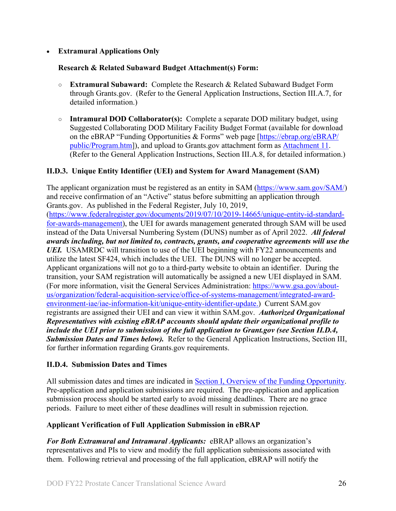## • **Extramural Applications Only**

#### **Research & Related Subaward Budget Attachment(s) Form:**

- **Extramural Subaward:** Complete the Research & Related Subaward Budget Form through Grants.gov. (Refer to the General Application Instructions, Section III.A.7, for detailed information.)
- **Intramural DOD Collaborator(s):** Complete a separate DOD military budget, using Suggested Collaborating DOD Military Facility Budget Format (available for download on the eBRAP "Funding Opportunities & Forms" web page [\[https://ebrap.org/eBRAP/](https://ebrap.org/eBRAP/public/Program.htm) [public/Program.htm\]](https://ebrap.org/eBRAP/public/Program.htm)), and upload to Grants.gov attachment form as [Attachment 11.](#page-20-1) (Refer to the General Application Instructions, Section III.A.8, for detailed information.)

#### <span id="page-25-0"></span>**II.D.3. Unique Entity Identifier (UEI) and System for Award Management (SAM)**

The applicant organization must be registered as an entity in SAM [\(https://www.sam.gov/SAM/\)](https://www.sam.gov/SAM/) and receive confirmation of an "Active" status before submitting an application through Grants.gov. As published in the Federal Register, July 10, 2019, [\(https://www.federalregister.gov/documents/2019/07/10/2019-14665/unique-entity-id-standard](https://www.federalregister.gov/documents/2019/07/10/2019-14665/unique-entity-id-standard-for-awards-management)[for-awards-management\)](https://www.federalregister.gov/documents/2019/07/10/2019-14665/unique-entity-id-standard-for-awards-management), the UEI for awards management generated through SAM will be used instead of the Data Universal Numbering System (DUNS) number as of April 2022. *All federal awards including, but not limited to, contracts, grants, and cooperative agreements will use the UEI.* USAMRDC will transition to use of the UEI beginning with FY22 announcements and utilize the latest SF424, which includes the UEI. The DUNS will no longer be accepted. Applicant organizations will not go to a third-party website to obtain an identifier. During the transition, your SAM registration will automatically be assigned a new UEI displayed in SAM. (For more information, visit the General Services Administration: [https://www.gsa.gov/about](https://www.gsa.gov/about-us/organization/federal-acquisition-service/office-of-systems-management/integrated-award-environment-iae/iae-information-kit/unique-entity-identifier-update)[us/organization/federal-acquisition-service/office-of-systems-management/integrated-award](https://www.gsa.gov/about-us/organization/federal-acquisition-service/office-of-systems-management/integrated-award-environment-iae/iae-information-kit/unique-entity-identifier-update)[environment-iae/iae-information-kit/unique-entity-identifier-update.](https://www.gsa.gov/about-us/organization/federal-acquisition-service/office-of-systems-management/integrated-award-environment-iae/iae-information-kit/unique-entity-identifier-update)) Current SAM.gov registrants are assigned their UEI and can view it within SAM.gov. *Authorized Organizational Representatives with existing eBRAP accounts should update their organizational profile to include the UEI prior to submission of the full application to Grant.gov (see Section II.D.4, Submission Dates and Times below).* Refer to the General Application Instructions, Section III, for further information regarding Grants.gov requirements.

## <span id="page-25-1"></span>**II.D.4. Submission Dates and Times**

All submission dates and times are indicated in [Section I, Overview of the Funding Opportunity.](#page-0-1) Pre-application and application submissions are required. The pre-application and application submission process should be started early to avoid missing deadlines. There are no grace periods. Failure to meet either of these deadlines will result in submission rejection.

## <span id="page-25-2"></span>**Applicant Verification of Full Application Submission in eBRAP**

*For Both Extramural and Intramural Applicants:* eBRAP allows an organization's representatives and PIs to view and modify the full application submissions associated with them. Following retrieval and processing of the full application, eBRAP will notify the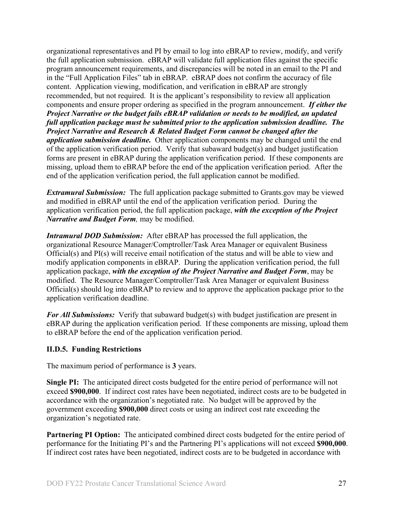organizational representatives and PI by email to log into eBRAP to review, modify, and verify the full application submission. eBRAP will validate full application files against the specific program announcement requirements, and discrepancies will be noted in an email to the PI and in the "Full Application Files" tab in eBRAP. eBRAP does not confirm the accuracy of file content. Application viewing, modification, and verification in eBRAP are strongly recommended, but not required. It is the applicant's responsibility to review all application components and ensure proper ordering as specified in the program announcement. *If either the Project Narrative or the budget fails eBRAP validation or needs to be modified, an updated full application package must be submitted prior to the application submission deadline. The Project Narrative and Research & Related Budget Form cannot be changed after the application submission deadline.* Other application components may be changed until the end of the [application verification period.](#page-0-0) Verify that subaward budget(s) and budget justification forms are present in eBRAP during the application verification period. If these components are missing, upload them to eBRAP before the end of the application verification period. After the end of the application verification period, the full application cannot be modified.

*Extramural Submission:* The full application package submitted to Grants.gov may be viewed and modified in eBRAP until the end of the application verification period. During the application verification period, the full application package, *with the exception of the Project Narrative and Budget Form,* may be modified.

*Intramural DOD Submission:* After eBRAP has processed the full application, the organizational Resource Manager/Comptroller/Task Area Manager or equivalent Business Official(s) and PI(s) will receive email notification of the status and will be able to view and modify application components in eBRAP. During the application verification period, the full application package, *with the exception of the Project Narrative and Budget Form*, may be modified. The Resource Manager/Comptroller/Task Area Manager or equivalent Business Official(s) should log into eBRAP to review and to approve the application package prior to the application verification deadline.

*For All Submissions:* Verify that subaward budget(s) with budget justification are present in eBRAP during the application verification period. If these components are missing, upload them to eBRAP before the end of the application verification period.

## <span id="page-26-0"></span>**II.D.5. Funding Restrictions**

The maximum period of performance is **3** years.

**Single PI:** The anticipated direct costs budgeted for the entire period of performance will not exceed **\$900,000**. If indirect cost rates have been negotiated, indirect costs are to be budgeted in accordance with the organization's negotiated rate. No budget will be approved by the government exceeding **\$900,000** direct costs or using an indirect cost rate exceeding the organization's negotiated rate.

**Partnering PI Option:** The anticipated combined direct costs budgeted for the entire period of performance for the Initiating PI's and the Partnering PI's applications will not exceed **\$900,000**. If indirect cost rates have been negotiated, indirect costs are to be budgeted in accordance with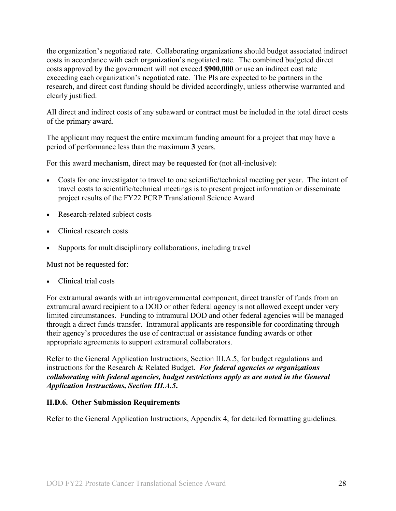the organization's negotiated rate. Collaborating organizations should budget associated indirect costs in accordance with each organization's negotiated rate. The combined budgeted direct costs approved by the government will not exceed **\$900,000** or use an indirect cost rate exceeding each organization's negotiated rate. The PIs are expected to be partners in the research, and direct cost funding should be divided accordingly, unless otherwise warranted and clearly justified.

All direct and indirect costs of any subaward or contract must be included in the total direct costs of the primary award.

The applicant may request the entire maximum funding amount for a project that may have a period of performance less than the maximum **3** years.

For this award mechanism, direct may be requested for (not all-inclusive):

- Costs for one investigator to travel to one scientific/technical meeting per year. The intent of travel costs to scientific/technical meetings is to present project information or disseminate project results of the FY22 PCRP Translational Science Award
- Research-related subject costs
- Clinical research costs
- Supports for multidisciplinary collaborations, including travel

Must not be requested for:

• Clinical trial costs

For extramural awards with an intragovernmental component, direct transfer of funds from an extramural award recipient to a DOD or other federal agency is not allowed except under very limited circumstances. Funding to intramural DOD and other federal agencies will be managed through a direct funds transfer. Intramural applicants are responsible for coordinating through their agency's procedures the use of contractual or assistance funding awards or other appropriate agreements to support extramural collaborators.

Refer to the General Application Instructions, Section III.A.5, for budget regulations and instructions for the Research & Related Budget. *For federal agencies or organizations collaborating with federal agencies, budget restrictions apply as are noted in the General Application Instructions, Section III.A.5***.**

#### <span id="page-27-0"></span>**II.D.6. Other Submission Requirements**

Refer to the General Application Instructions, Appendix 4, for detailed formatting guidelines.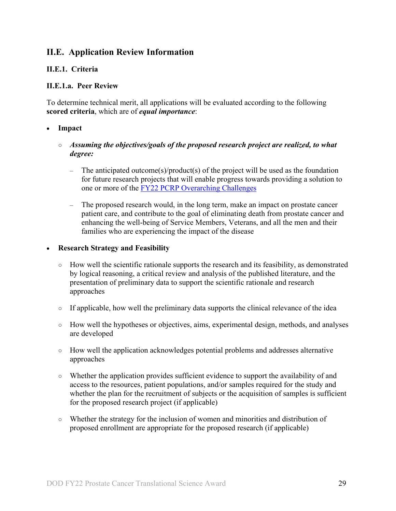# <span id="page-28-0"></span>**II.E. Application Review Information**

#### <span id="page-28-1"></span>**II.E.1. Criteria**

#### **II.E.1.a. Peer Review**

To determine technical merit, all applications will be evaluated according to the following **scored criteria**, which are of *equal importance*:

#### • **Impact**

## ○ *Assuming the objectives/goals of the proposed research project are realized, to what degree:*

- The anticipated outcome(s)/product(s) of the project will be used as the foundation for future research projects that will enable progress towards providing a solution to one or more of the **FY22 PCRP** Overarching Challenges
- The proposed research would, in the long term, make an impact on prostate cancer patient care, and contribute to the goal of eliminating death from prostate cancer and enhancing the well-being of Service Members, Veterans, and all the men and their families who are experiencing the impact of the disease

#### • **Research Strategy and Feasibility**

- How well the scientific rationale supports the research and its feasibility, as demonstrated by logical reasoning, a critical review and analysis of the published literature, and the presentation of preliminary data to support the scientific rationale and research approaches
- If applicable, how well the preliminary data supports the clinical relevance of the idea
- How well the hypotheses or objectives, aims, experimental design, methods, and analyses are developed
- How well the application acknowledges potential problems and addresses alternative approaches
- Whether the application provides sufficient evidence to support the availability of and access to the resources, patient populations, and/or samples required for the study and whether the plan for the recruitment of subjects or the acquisition of samples is sufficient for the proposed research project (if applicable)
- Whether the strategy for the inclusion of women and minorities and distribution of proposed enrollment are appropriate for the proposed research (if applicable)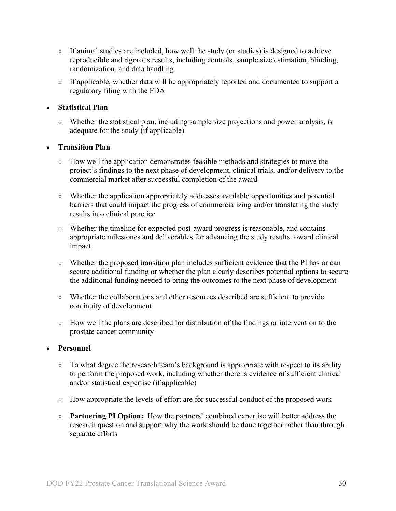- If animal studies are included, how well the study (or studies) is designed to achieve reproducible and rigorous results, including controls, sample size estimation, blinding, randomization, and data handling
- If applicable, whether data will be appropriately reported and documented to support a regulatory filing with the FDA

## • **Statistical Plan**

○ Whether the statistical plan, including sample size projections and power analysis, is adequate for the study (if applicable)

## • **Transition Plan**

- How well the application demonstrates feasible methods and strategies to move the project's findings to the next phase of development, clinical trials, and/or delivery to the commercial market after successful completion of the award
- Whether the application appropriately addresses available opportunities and potential barriers that could impact the progress of commercializing and/or translating the study results into clinical practice
- Whether the timeline for expected post-award progress is reasonable, and contains appropriate milestones and deliverables for advancing the study results toward clinical impact
- Whether the proposed transition plan includes sufficient evidence that the PI has or can secure additional funding or whether the plan clearly describes potential options to secure the additional funding needed to bring the outcomes to the next phase of development
- Whether the collaborations and other resources described are sufficient to provide continuity of development
- How well the plans are described for distribution of the findings or intervention to the prostate cancer community

## • **Personnel**

- To what degree the research team's background is appropriate with respect to its ability to perform the proposed work, including whether there is evidence of sufficient clinical and/or statistical expertise (if applicable)
- How appropriate the levels of effort are for successful conduct of the proposed work
- **Partnering PI Option:** How the partners' combined expertise will better address the research question and support why the work should be done together rather than through separate efforts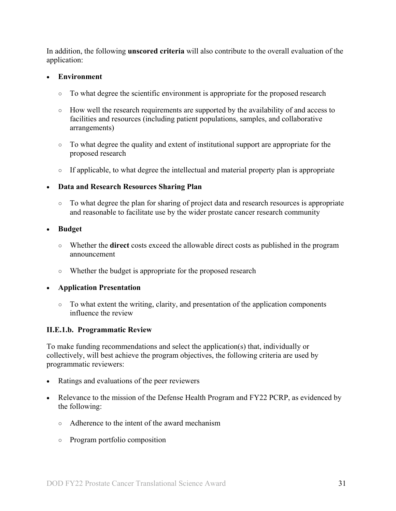In addition, the following **unscored criteria** will also contribute to the overall evaluation of the application:

#### • **Environment**

- To what degree the scientific environment is appropriate for the proposed research
- How well the research requirements are supported by the availability of and access to facilities and resources (including patient populations, samples, and collaborative arrangements)
- To what degree the quality and extent of institutional support are appropriate for the proposed research
- If applicable, to what degree the intellectual and material property plan is appropriate
- **Data and Research Resources Sharing Plan**
	- To what degree the plan for sharing of project data and research resources is appropriate and reasonable to facilitate use by the wider prostate cancer research community
- **Budget**
	- Whether the **direct** costs exceed the allowable direct costs as published in the program announcement
	- Whether the budget is appropriate for the proposed research

#### • **Application Presentation**

○ To what extent the writing, clarity, and presentation of the application components influence the review

## <span id="page-30-0"></span>**II.E.1.b. Programmatic Review**

To make funding recommendations and select the application(s) that, individually or collectively, will best achieve the program objectives, the following criteria are used by programmatic reviewers:

- Ratings and evaluations of the peer reviewers
- Relevance to the mission of the Defense Health Program and FY22 PCRP, as evidenced by the following:
	- Adherence to the intent of the award mechanism
	- Program portfolio composition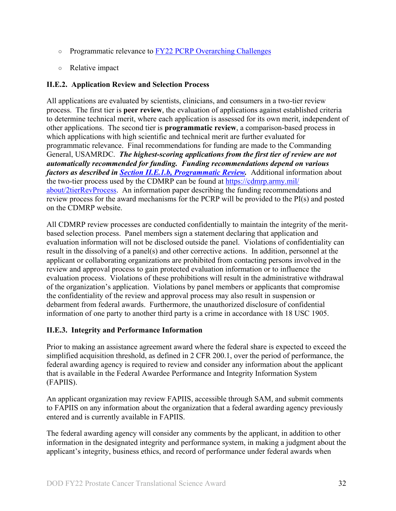- Programmatic relevance to [FY22 PCRP Overarching Challenges](#page-2-2)
- Relative impact

## <span id="page-31-0"></span>**II.E.2. Application Review and Selection Process**

All applications are evaluated by scientists, clinicians, and consumers in a two-tier review process. The first tier is **peer review**, the evaluation of applications against established criteria to determine technical merit, where each application is assessed for its own merit, independent of other applications. The second tier is **programmatic review**, a comparison-based process in which applications with high scientific and technical merit are further evaluated for programmatic relevance. Final recommendations for funding are made to the Commanding General, USAMRDC. *The highest-scoring applications from the first tier of review are not automatically recommended for funding. Funding recommendations depend on various factors as described in Section [II.E.1.b, Programmatic Review.](#page-30-0)* Additional information about the two-tier process used by the CDMRP can be found at [https://cdmrp.army.mil/](https://cdmrp.army.mil/about/2tierRevProcess) [about/2tierRevProcess.](https://cdmrp.army.mil/about/2tierRevProcess) An information paper describing the funding recommendations and review process for the award mechanisms for the PCRP will be provided to the PI(s) and posted on the CDMRP website.

All CDMRP review processes are conducted confidentially to maintain the integrity of the meritbased selection process. Panel members sign a statement declaring that application and evaluation information will not be disclosed outside the panel. Violations of confidentiality can result in the dissolving of a panel(s) and other corrective actions. In addition, personnel at the applicant or collaborating organizations are prohibited from contacting persons involved in the review and approval process to gain protected evaluation information or to influence the evaluation process. Violations of these prohibitions will result in the administrative withdrawal of the organization's application. Violations by panel members or applicants that compromise the confidentiality of the review and approval process may also result in suspension or debarment from federal awards. Furthermore, the unauthorized disclosure of confidential information of one party to another third party is a crime in accordance with 18 USC 1905.

## <span id="page-31-1"></span>**II.E.3. Integrity and Performance Information**

Prior to making an assistance agreement award where the federal share is expected to exceed the simplified acquisition threshold, as defined in 2 CFR 200.1, over the period of performance, the federal awarding agency is required to review and consider any information about the applicant that is available in the Federal Awardee Performance and Integrity Information System (FAPIIS).

An applicant organization may review FAPIIS, accessible through SAM, and submit comments to FAPIIS on any information about the organization that a federal awarding agency previously entered and is currently available in FAPIIS.

The federal awarding agency will consider any comments by the applicant, in addition to other information in the designated integrity and performance system, in making a judgment about the applicant's integrity, business ethics, and record of performance under federal awards when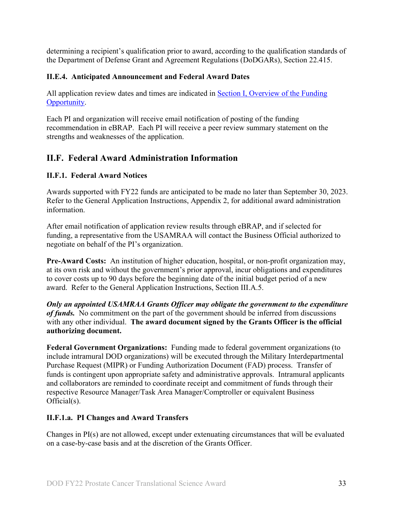determining a recipient's qualification prior to award, according to the qualification standards of the Department of Defense Grant and Agreement Regulations (DoDGARs), Section 22.415.

## <span id="page-32-0"></span>**II.E.4. Anticipated Announcement and Federal Award Dates**

All application review dates and times are indicated in [Section I, Overview of the Funding](#page-0-1)  [Opportunity.](#page-0-1)

Each PI and organization will receive email notification of posting of the funding recommendation in eBRAP. Each PI will receive a peer review summary statement on the strengths and weaknesses of the application.

# <span id="page-32-1"></span>**II.F. Federal Award Administration Information**

## <span id="page-32-2"></span>**II.F.1. Federal Award Notices**

Awards supported with FY22 funds are anticipated to be made no later than September 30, 2023. Refer to the General Application Instructions, Appendix 2, for additional award administration information.

After email notification of application review results through eBRAP, and if selected for funding, a representative from the USAMRAA will contact the Business Official authorized to negotiate on behalf of the PI's organization.

**Pre-Award Costs:** An institution of higher education, hospital, or non-profit organization may, at its own risk and without the government's prior approval, incur obligations and expenditures to cover costs up to 90 days before the beginning date of the initial budget period of a new award. Refer to the General Application Instructions, Section III.A.5.

*Only an appointed USAMRAA Grants Officer may obligate the government to the expenditure of funds.* No commitment on the part of the government should be inferred from discussions with any other individual. **The award document signed by the Grants Officer is the official authorizing document.**

Federal Government Organizations: Funding made to federal government organizations (to include intramural DOD organizations) will be executed through the Military Interdepartmental Purchase Request (MIPR) or Funding Authorization Document (FAD) process. Transfer of funds is contingent upon appropriate safety and administrative approvals. Intramural applicants and collaborators are reminded to coordinate receipt and commitment of funds through their respective Resource Manager/Task Area Manager/Comptroller or equivalent Business Official(s).

## **II.F.1.a. PI Changes and Award Transfers**

Changes in PI(s) are not allowed, except under extenuating circumstances that will be evaluated on a case-by-case basis and at the discretion of the Grants Officer.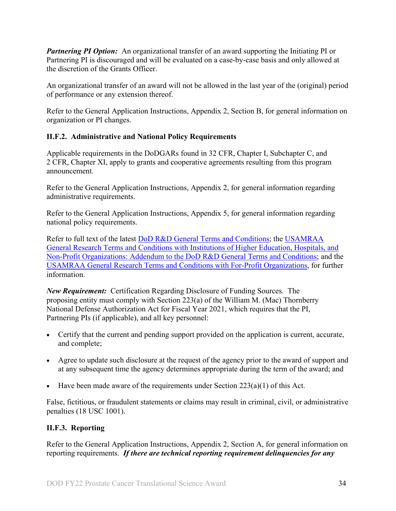*Partnering PI Option:* An organizational transfer of an award supporting the Initiating PI or Partnering PI is discouraged and will be evaluated on a case-by-case basis and only allowed at the discretion of the Grants Officer.

An organizational transfer of an award will not be allowed in the last year of the (original) period of performance or any extension thereof.

Refer to the General Application Instructions, Appendix 2, Section B, for general information on organization or PI changes.

## <span id="page-33-0"></span>**II.F.2. Administrative and National Policy Requirements**

Applicable requirements in the DoDGARs found in 32 CFR, Chapter I, Subchapter C, and 2 CFR, Chapter XI, apply to grants and cooperative agreements resulting from this program announcement.

Refer to the General Application Instructions, Appendix 2, for general information regarding administrative requirements.

Refer to the General Application Instructions, Appendix 5, for general information regarding national policy requirements.

Refer to full text of the latest DoD [R&D General Terms and Conditions;](https://www.onr.navy.mil/work-with-us/manage-your-award/manage-grant-award/grants-terms-conditions) the [USAMRAA](https://www.usamraa.army.mil/Pages/Resources.aspx)  [General Research Terms and Conditions with Institutions of Higher Education, Hospitals, and](https://www.usamraa.army.mil/Pages/Resources.aspx)  [Non-Profit Organizations: Addendum to the DoD](https://www.usamraa.army.mil/Pages/Resources.aspx) R&D General Terms and Conditions; and the [USAMRAA General Research Terms and Conditions with For-Profit Organizations,](https://www.usamraa.army.mil/Pages/Resources.aspx) for further information.

*New Requirement:* Certification Regarding Disclosure of Funding Sources. The proposing entity must comply with Section 223(a) of the William M. (Mac) Thornberry National Defense Authorization Act for Fiscal Year 2021, which requires that the PI, Partnering PIs (if applicable), and all key personnel:

- Certify that the current and pending support provided on the application is current, accurate, and complete;
- Agree to update such disclosure at the request of the agency prior to the award of support and at any subsequent time the agency determines appropriate during the term of the award; and
- Have been made aware of the requirements under Section  $223(a)(1)$  of this Act.

False, fictitious, or fraudulent statements or claims may result in criminal, civil, or administrative penalties (18 USC 1001).

# <span id="page-33-1"></span>**II.F.3. Reporting**

Refer to the General Application Instructions, Appendix 2, Section A, for general information on reporting requirements. *If there are technical reporting requirement delinquencies for any*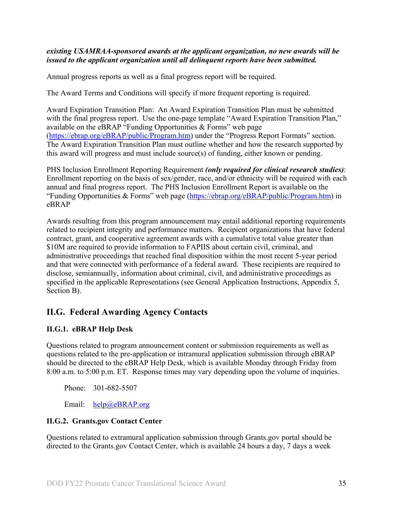#### *existing USAMRAA-sponsored awards at the applicant organization, no new awards will be issued to the applicant organization until all delinquent reports have been submitted.*

Annual progress reports as well as a final progress report will be required.

The Award Terms and Conditions will specify if more frequent reporting is required.

Award Expiration Transition Plan: An Award Expiration Transition Plan must be submitted with the final progress report. Use the one-page template "Award Expiration Transition Plan," available on the eBRAP "Funding Opportunities & Forms" web page [\(https://ebrap.org/eBRAP/public/Program.htm\)](https://ebrap.org/eBRAP/public/Program.htm) under the "Progress Report Formats" section. The Award Expiration Transition Plan must outline whether and how the research supported by this award will progress and must include source(s) of funding, either known or pending.

PHS Inclusion Enrollment Reporting Requirement *(only required for clinical research studies)*: Enrollment reporting on the basis of sex/gender, race, and/or ethnicity will be required with each annual and final progress report. The PHS Inclusion Enrollment Report is available on the "Funding Opportunities & Forms" web page [\(https://ebrap.org/eBRAP/public/Program.htm\)](https://ebrap.org/eBRAP/public/Program.htm) in eBRAP

Awards resulting from this program announcement may entail additional reporting requirements related to recipient integrity and performance matters. Recipient organizations that have federal contract, grant, and cooperative agreement awards with a cumulative total value greater than \$10M are required to provide information to FAPIIS about certain civil, criminal, and administrative proceedings that reached final disposition within the most recent 5-year period and that were connected with performance of a federal award. These recipients are required to disclose, semiannually, information about criminal, civil, and administrative proceedings as specified in the applicable Representations (see General Application Instructions, Appendix 5, Section B).

# <span id="page-34-0"></span>**II.G. Federal Awarding Agency Contacts**

## <span id="page-34-1"></span>**II.G.1. eBRAP Help Desk**

Questions related to program announcement content or submission requirements as well as questions related to the pre-application or intramural application submission through eBRAP should be directed to the eBRAP Help Desk, which is available Monday through Friday from 8:00 a.m. to 5:00 p.m. ET. Response times may vary depending upon the volume of inquiries.

Phone: 301-682-5507

Email: [help@eBRAP.org](mailto:help@eBRAP.org)

## <span id="page-34-2"></span>**II.G.2. Grants.gov Contact Center**

Questions related to extramural application submission through Grants.gov portal should be directed to the Grants.gov Contact Center, which is available 24 hours a day, 7 days a week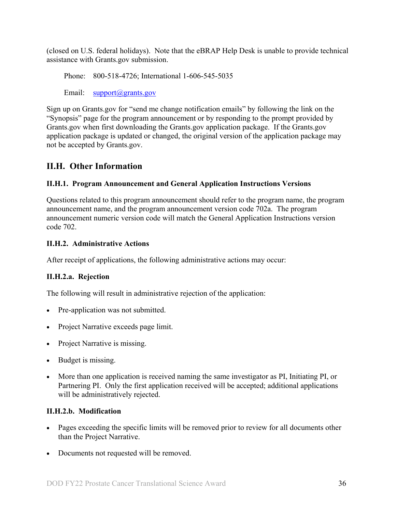(closed on U.S. federal holidays). Note that the eBRAP Help Desk is unable to provide technical assistance with Grants.gov submission.

Phone: 800-518-4726; International 1-606-545-5035

Email: [support@grants.gov](mailto:support@grants.gov)

Sign up on Grants.gov for "send me change notification emails" by following the link on the "Synopsis" page for the program announcement or by responding to the prompt provided by Grants.gov when first downloading the Grants.gov application package. If the Grants.gov application package is updated or changed, the original version of the application package may not be accepted by Grants.gov.

# <span id="page-35-0"></span>**II.H. Other Information**

# <span id="page-35-1"></span>**II.H.1. Program Announcement and General Application Instructions Versions**

Questions related to this program announcement should refer to the program name, the program announcement name, and the program announcement version code 702a. The program announcement numeric version code will match the General Application Instructions version code 702.

# <span id="page-35-2"></span>**II.H.2. Administrative Actions**

After receipt of applications, the following administrative actions may occur:

# **II.H.2.a. Rejection**

The following will result in administrative rejection of the application:

- Pre-application was not submitted.
- Project Narrative exceeds page limit.
- Project Narrative is missing.
- Budget is missing.
- More than one application is received naming the same investigator as PI, Initiating PI, or Partnering PI. Only the first application received will be accepted; additional applications will be administratively rejected.

# **II.H.2.b. Modification**

- Pages exceeding the specific limits will be removed prior to review for all documents other than the Project Narrative.
- Documents not requested will be removed.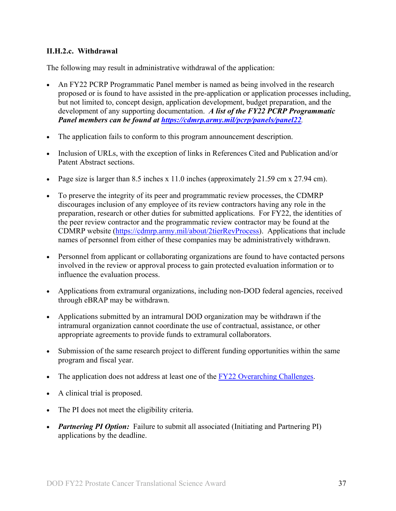#### <span id="page-36-0"></span>**II.H.2.c. Withdrawal**

The following may result in administrative withdrawal of the application:

- An FY22 PCRP Programmatic Panel member is named as being involved in the research proposed or is found to have assisted in the pre-application or application processes including, but not limited to, concept design, application development, budget preparation, and the development of any supporting documentation. *A list of the FY22 PCRP Programmatic Panel members can be found at<https://cdmrp.army.mil/pcrp/panels/panel22>.*
- The application fails to conform to this program announcement description.
- Inclusion of URLs, with the exception of links in References Cited and Publication and/or Patent Abstract sections.
- Page size is larger than 8.5 inches x 11.0 inches (approximately 21.59 cm x 27.94 cm).
- To preserve the integrity of its peer and programmatic review processes, the CDMRP discourages inclusion of any employee of its review contractors having any role in the preparation, research or other duties for submitted applications. For FY22, the identities of the peer review contractor and the programmatic review contractor may be found at the CDMRP website [\(https://cdmrp.army.mil/about/2tierRevProcess\)](https://cdmrp.army.mil/about/2tierRevProcess). Applications that include names of personnel from either of these companies may be administratively withdrawn.
- Personnel from applicant or collaborating organizations are found to have contacted persons involved in the review or approval process to gain protected evaluation information or to influence the evaluation process.
- Applications from extramural organizations, including non-DOD federal agencies, received through eBRAP may be withdrawn.
- Applications submitted by an intramural DOD organization may be withdrawn if the intramural organization cannot coordinate the use of contractual, assistance, or other appropriate agreements to provide funds to extramural collaborators.
- Submission of the same research project to different funding opportunities within the same program and fiscal year.
- The application does not address at least one of the [FY22 Overarching Challenges.](#page-2-2)
- A clinical trial is proposed.
- The PI does not meet the eligibility criteria.
- *Partnering PI Option:* Failure to submit all associated (Initiating and Partnering PI) applications by the deadline.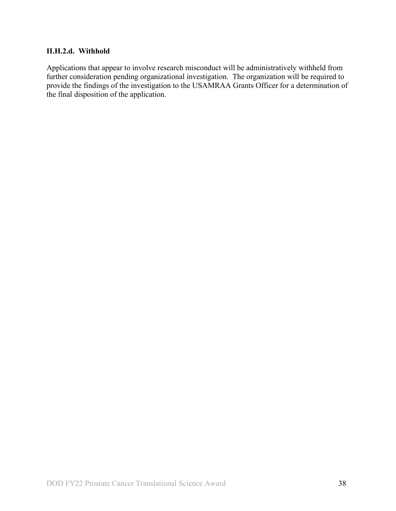### **II.H.2.d. Withhold**

Applications that appear to involve research misconduct will be administratively withheld from further consideration pending organizational investigation. The organization will be required to provide the findings of the investigation to the USAMRAA Grants Officer for a determination of the final disposition of the application.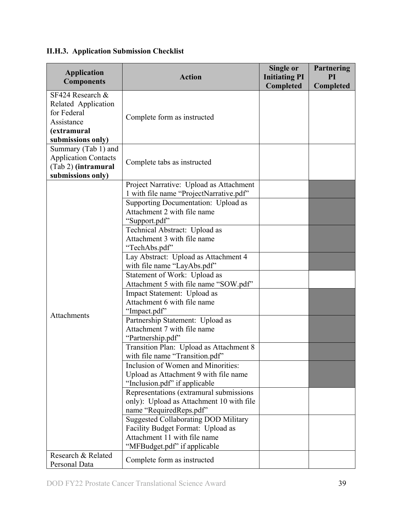| <b>Application</b><br><b>Components</b>                                                                  | <b>Action</b>                                                                                                                                                                                                                                                                                                                                                                                                                                                                                                                                                                                                                                                                                                                                                                                                                                                                                                                                                                                                                                        | Single or<br><b>Initiating PI</b><br>Completed | <b>Partnering</b><br>PI<br>Completed |
|----------------------------------------------------------------------------------------------------------|------------------------------------------------------------------------------------------------------------------------------------------------------------------------------------------------------------------------------------------------------------------------------------------------------------------------------------------------------------------------------------------------------------------------------------------------------------------------------------------------------------------------------------------------------------------------------------------------------------------------------------------------------------------------------------------------------------------------------------------------------------------------------------------------------------------------------------------------------------------------------------------------------------------------------------------------------------------------------------------------------------------------------------------------------|------------------------------------------------|--------------------------------------|
| SF424 Research &<br>Related Application<br>for Federal<br>Assistance<br>(extramural<br>submissions only) | Complete form as instructed                                                                                                                                                                                                                                                                                                                                                                                                                                                                                                                                                                                                                                                                                                                                                                                                                                                                                                                                                                                                                          |                                                |                                      |
| Summary (Tab 1) and<br><b>Application Contacts</b><br>(Tab 2) (intramural<br>submissions only)           | Complete tabs as instructed                                                                                                                                                                                                                                                                                                                                                                                                                                                                                                                                                                                                                                                                                                                                                                                                                                                                                                                                                                                                                          |                                                |                                      |
| <b>Attachments</b>                                                                                       | Project Narrative: Upload as Attachment<br>1 with file name "ProjectNarrative.pdf"<br>Supporting Documentation: Upload as<br>Attachment 2 with file name<br>"Support.pdf"<br>Technical Abstract: Upload as<br>Attachment 3 with file name<br>"TechAbs.pdf"<br>Lay Abstract: Upload as Attachment 4<br>with file name "LayAbs.pdf"<br>Statement of Work: Upload as<br>Attachment 5 with file name "SOW.pdf"<br>Impact Statement: Upload as<br>Attachment 6 with file name<br>"Impact.pdf"<br>Partnership Statement: Upload as<br>Attachment 7 with file name<br>"Partnership.pdf"<br>Transition Plan: Upload as Attachment 8<br>with file name "Transition.pdf"<br>Inclusion of Women and Minorities:<br>Upload as Attachment 9 with file name<br>"Inclusion.pdf" if applicable<br>Representations (extramural submissions<br>only): Upload as Attachment 10 with file<br>name "RequiredReps.pdf"<br><b>Suggested Collaborating DOD Military</b><br>Facility Budget Format: Upload as<br>Attachment 11 with file name<br>"MFBudget.pdf" if applicable |                                                |                                      |
| Research & Related<br>Personal Data                                                                      | Complete form as instructed                                                                                                                                                                                                                                                                                                                                                                                                                                                                                                                                                                                                                                                                                                                                                                                                                                                                                                                                                                                                                          |                                                |                                      |

<span id="page-38-0"></span>**II.H.3. Application Submission Checklist**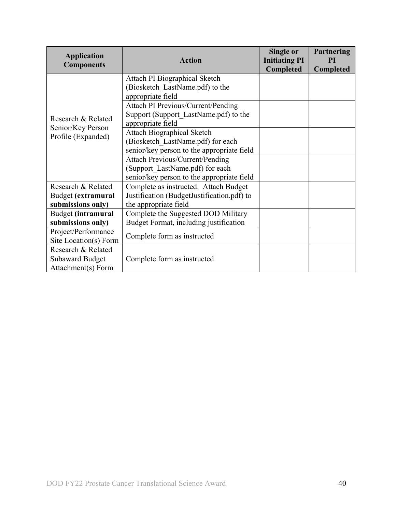| <b>Application</b><br><b>Components</b>                            | <b>Action</b>                                                                                                           | Single or<br><b>Initiating PI</b><br>Completed | Partnering<br>PI<br>Completed |
|--------------------------------------------------------------------|-------------------------------------------------------------------------------------------------------------------------|------------------------------------------------|-------------------------------|
|                                                                    | Attach PI Biographical Sketch<br>(Biosketch LastName.pdf) to the<br>appropriate field                                   |                                                |                               |
| Research & Related<br>Senior/Key Person<br>Profile (Expanded)      | Attach PI Previous/Current/Pending<br>Support (Support_LastName.pdf) to the<br>appropriate field                        |                                                |                               |
|                                                                    | <b>Attach Biographical Sketch</b><br>(Biosketch LastName.pdf) for each<br>senior/key person to the appropriate field    |                                                |                               |
|                                                                    | <b>Attach Previous/Current/Pending</b><br>(Support LastName.pdf) for each<br>senior/key person to the appropriate field |                                                |                               |
| Research & Related                                                 | Complete as instructed. Attach Budget                                                                                   |                                                |                               |
| Budget (extramural<br>submissions only)                            | Justification (BudgetJustification.pdf) to<br>the appropriate field                                                     |                                                |                               |
| Budget (intramural                                                 | Complete the Suggested DOD Military                                                                                     |                                                |                               |
| submissions only)                                                  | Budget Format, including justification                                                                                  |                                                |                               |
| Project/Performance                                                | Complete form as instructed                                                                                             |                                                |                               |
| Site Location(s) Form                                              |                                                                                                                         |                                                |                               |
| Research & Related<br><b>Subaward Budget</b><br>Attachment(s) Form | Complete form as instructed                                                                                             |                                                |                               |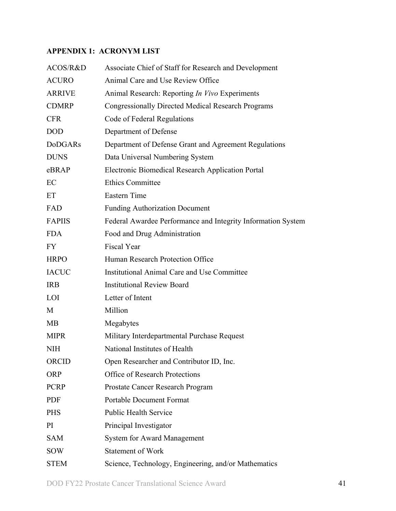# <span id="page-40-0"></span>**APPENDIX 1: ACRONYM LIST**

| ACOS/R&D       | Associate Chief of Staff for Research and Development        |
|----------------|--------------------------------------------------------------|
| <b>ACURO</b>   | Animal Care and Use Review Office                            |
| <b>ARRIVE</b>  | Animal Research: Reporting In Vivo Experiments               |
| <b>CDMRP</b>   | <b>Congressionally Directed Medical Research Programs</b>    |
| <b>CFR</b>     | Code of Federal Regulations                                  |
| <b>DOD</b>     | Department of Defense                                        |
| <b>DoDGARs</b> | Department of Defense Grant and Agreement Regulations        |
| <b>DUNS</b>    | Data Universal Numbering System                              |
| eBRAP          | <b>Electronic Biomedical Research Application Portal</b>     |
| EC             | <b>Ethics Committee</b>                                      |
| ET             | <b>Eastern Time</b>                                          |
| FAD            | <b>Funding Authorization Document</b>                        |
| <b>FAPIIS</b>  | Federal Awardee Performance and Integrity Information System |
| <b>FDA</b>     | Food and Drug Administration                                 |
| FY             | <b>Fiscal Year</b>                                           |
| <b>HRPO</b>    | Human Research Protection Office                             |
| <b>IACUC</b>   | Institutional Animal Care and Use Committee                  |
| <b>IRB</b>     | <b>Institutional Review Board</b>                            |
| LOI            | Letter of Intent                                             |
| M              | Million                                                      |
| MB             | Megabytes                                                    |
| <b>MIPR</b>    | Military Interdepartmental Purchase Request                  |
| <b>NIH</b>     | National Institutes of Health                                |
| ORCID          | Open Researcher and Contributor ID, Inc.                     |
| <b>ORP</b>     | Office of Research Protections                               |
| <b>PCRP</b>    | Prostate Cancer Research Program                             |
| <b>PDF</b>     | <b>Portable Document Format</b>                              |
| <b>PHS</b>     | <b>Public Health Service</b>                                 |
| PI             | Principal Investigator                                       |
| <b>SAM</b>     | <b>System for Award Management</b>                           |
| <b>SOW</b>     | <b>Statement of Work</b>                                     |
| <b>STEM</b>    | Science, Technology, Engineering, and/or Mathematics         |